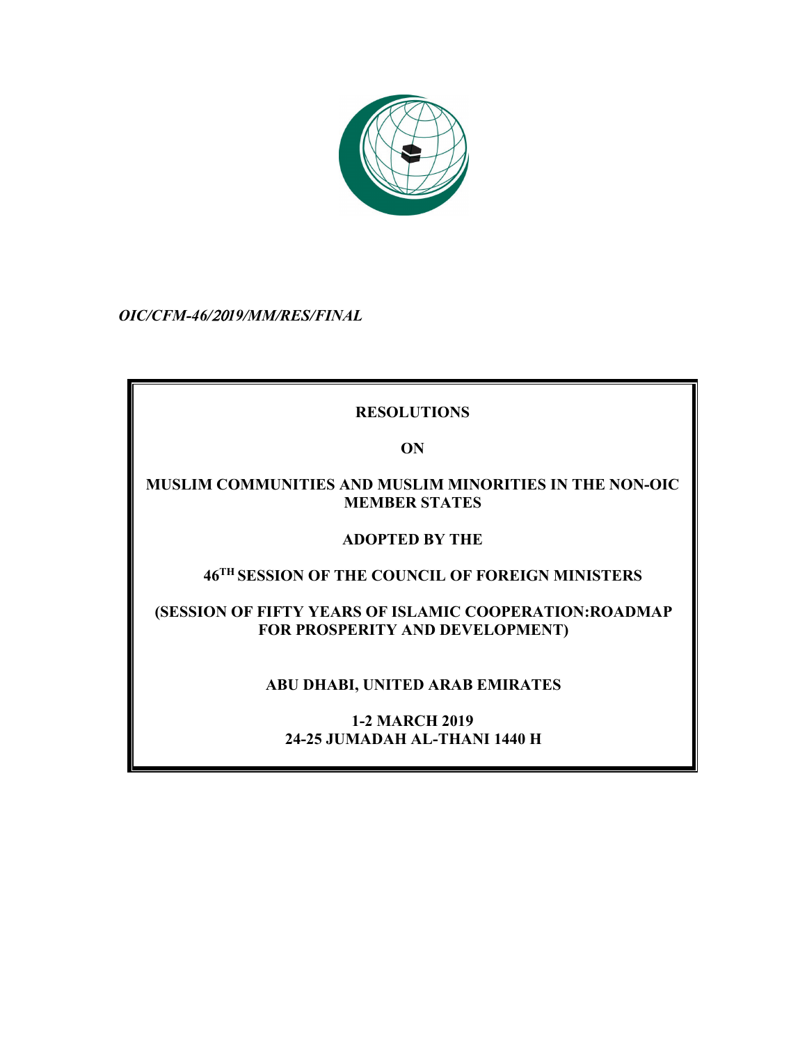

*OIC/CFM-46/*20*19/MM/RES/FINAL*

# **RESOLUTIONS**

**ON** 

## **MUSLIM COMMUNITIES AND MUSLIM MINORITIES IN THE NON-OIC MEMBER STATES**

# **ADOPTED BY THE**

# **46TH SESSION OF THE COUNCIL OF FOREIGN MINISTERS**

## **(SESSION OF FIFTY YEARS OF ISLAMIC COOPERATION:ROADMAP FOR PROSPERITY AND DEVELOPMENT)**

# **ABU DHABI, UNITED ARAB EMIRATES**

## **1-2 MARCH 2019 24-25 JUMADAH AL-THANI 1440 H**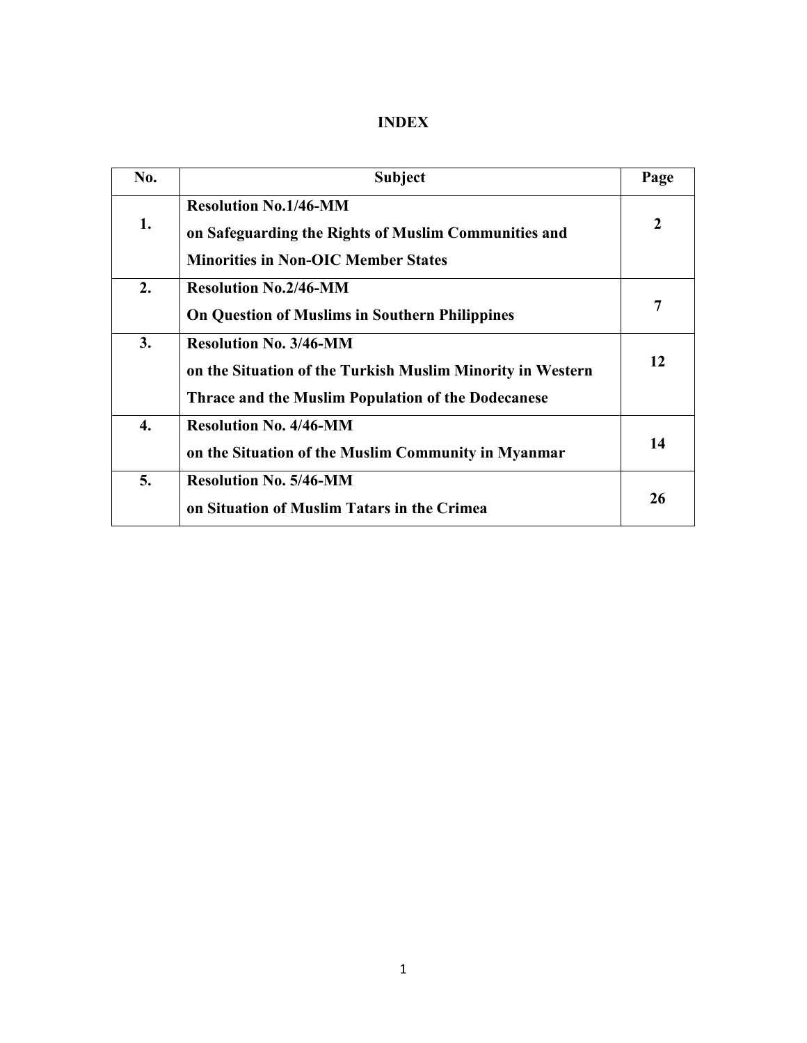| No. | <b>Subject</b>                                                                                                                                           | Page |
|-----|----------------------------------------------------------------------------------------------------------------------------------------------------------|------|
| 1.  | <b>Resolution No.1/46-MM</b><br>on Safeguarding the Rights of Muslim Communities and<br><b>Minorities in Non-OIC Member States</b>                       | 2    |
| 2.  | <b>Resolution No.2/46-MM</b><br><b>On Question of Muslims in Southern Philippines</b>                                                                    | 7    |
| 3.  | <b>Resolution No. 3/46-MM</b><br>on the Situation of the Turkish Muslim Minority in Western<br><b>Thrace and the Muslim Population of the Dodecanese</b> | 12   |
| 4.  | <b>Resolution No. 4/46-MM</b><br>on the Situation of the Muslim Community in Myanmar                                                                     | 14   |
| 5.  | <b>Resolution No. 5/46-MM</b><br>on Situation of Muslim Tatars in the Crimea                                                                             | 26   |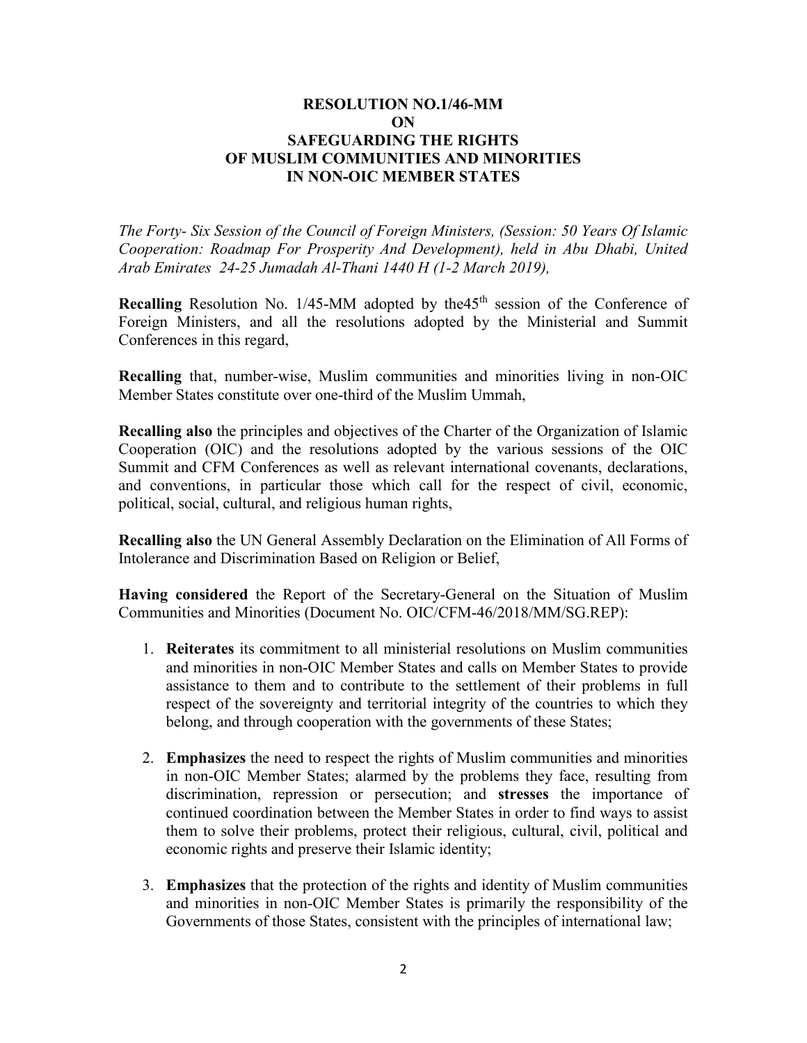### **RESOLUTION NO.1/46-MM ON SAFEGUARDING THE RIGHTS OF MUSLIM COMMUNITIES AND MINORITIES IN NON-OIC MEMBER STATES**

*The Forty- Six Session of the Council of Foreign Ministers, (Session: 50 Years Of Islamic Cooperation: Roadmap For Prosperity And Development), held in Abu Dhabi, United Arab Emirates 24-25 Jumadah Al-Thani 1440 H (1-2 March 2019),*

**Recalling** Resolution No.  $1/45$ -MM adopted by the 45<sup>th</sup> session of the Conference of Foreign Ministers, and all the resolutions adopted by the Ministerial and Summit Conferences in this regard,

**Recalling** that, number-wise, Muslim communities and minorities living in non-OIC Member States constitute over one-third of the Muslim Ummah,

**Recalling also** the principles and objectives of the Charter of the Organization of Islamic Cooperation (OIC) and the resolutions adopted by the various sessions of the OIC Summit and CFM Conferences as well as relevant international covenants, declarations, and conventions, in particular those which call for the respect of civil, economic, political, social, cultural, and religious human rights,

**Recalling also** the UN General Assembly Declaration on the Elimination of All Forms of Intolerance and Discrimination Based on Religion or Belief,

**Having considered** the Report of the Secretary-General on the Situation of Muslim Communities and Minorities (Document No. OIC/CFM-46/2018/MM/SG.REP):

- 1. **Reiterates** its commitment to all ministerial resolutions on Muslim communities and minorities in non-OIC Member States and calls on Member States to provide assistance to them and to contribute to the settlement of their problems in full respect of the sovereignty and territorial integrity of the countries to which they belong, and through cooperation with the governments of these States;
- 2. **Emphasizes** the need to respect the rights of Muslim communities and minorities in non-OIC Member States; alarmed by the problems they face, resulting from discrimination, repression or persecution; and **stresses** the importance of continued coordination between the Member States in order to find ways to assist them to solve their problems, protect their religious, cultural, civil, political and economic rights and preserve their Islamic identity;
- 3. **Emphasizes** that the protection of the rights and identity of Muslim communities and minorities in non-OIC Member States is primarily the responsibility of the Governments of those States, consistent with the principles of international law;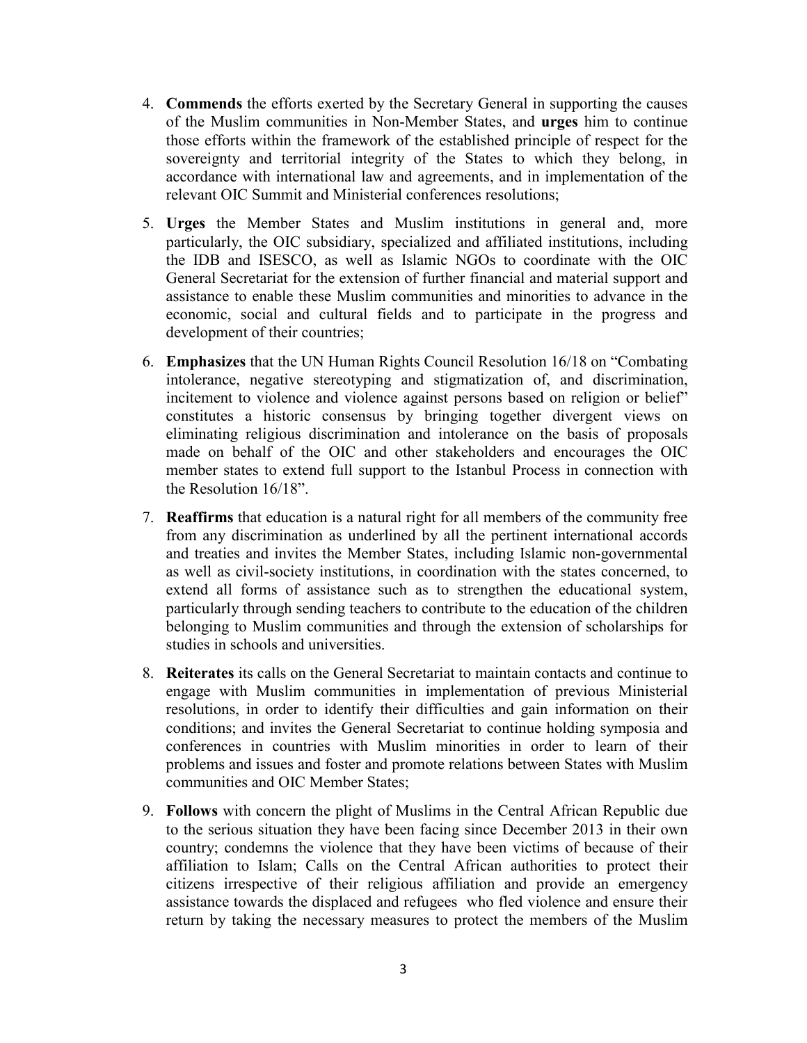- 4. **Commends** the efforts exerted by the Secretary General in supporting the causes of the Muslim communities in Non-Member States, and **urges** him to continue those efforts within the framework of the established principle of respect for the sovereignty and territorial integrity of the States to which they belong, in accordance with international law and agreements, and in implementation of the relevant OIC Summit and Ministerial conferences resolutions;
- 5. **Urges** the Member States and Muslim institutions in general and, more particularly, the OIC subsidiary, specialized and affiliated institutions, including the IDB and ISESCO, as well as Islamic NGOs to coordinate with the OIC General Secretariat for the extension of further financial and material support and assistance to enable these Muslim communities and minorities to advance in the economic, social and cultural fields and to participate in the progress and development of their countries;
- 6. **Emphasizes** that the UN Human Rights Council Resolution 16/18 on "Combating intolerance, negative stereotyping and stigmatization of, and discrimination, incitement to violence and violence against persons based on religion or belief" constitutes a historic consensus by bringing together divergent views on eliminating religious discrimination and intolerance on the basis of proposals made on behalf of the OIC and other stakeholders and encourages the OIC member states to extend full support to the Istanbul Process in connection with the Resolution 16/18".
- 7. **Reaffirms** that education is a natural right for all members of the community free from any discrimination as underlined by all the pertinent international accords and treaties and invites the Member States, including Islamic non-governmental as well as civil-society institutions, in coordination with the states concerned, to extend all forms of assistance such as to strengthen the educational system, particularly through sending teachers to contribute to the education of the children belonging to Muslim communities and through the extension of scholarships for studies in schools and universities.
- 8. **Reiterates** its calls on the General Secretariat to maintain contacts and continue to engage with Muslim communities in implementation of previous Ministerial resolutions, in order to identify their difficulties and gain information on their conditions; and invites the General Secretariat to continue holding symposia and conferences in countries with Muslim minorities in order to learn of their problems and issues and foster and promote relations between States with Muslim communities and OIC Member States;
- 9. **Follows** with concern the plight of Muslims in the Central African Republic due to the serious situation they have been facing since December 2013 in their own country; condemns the violence that they have been victims of because of their affiliation to Islam; Calls on the Central African authorities to protect their citizens irrespective of their religious affiliation and provide an emergency assistance towards the displaced and refugees who fled violence and ensure their return by taking the necessary measures to protect the members of the Muslim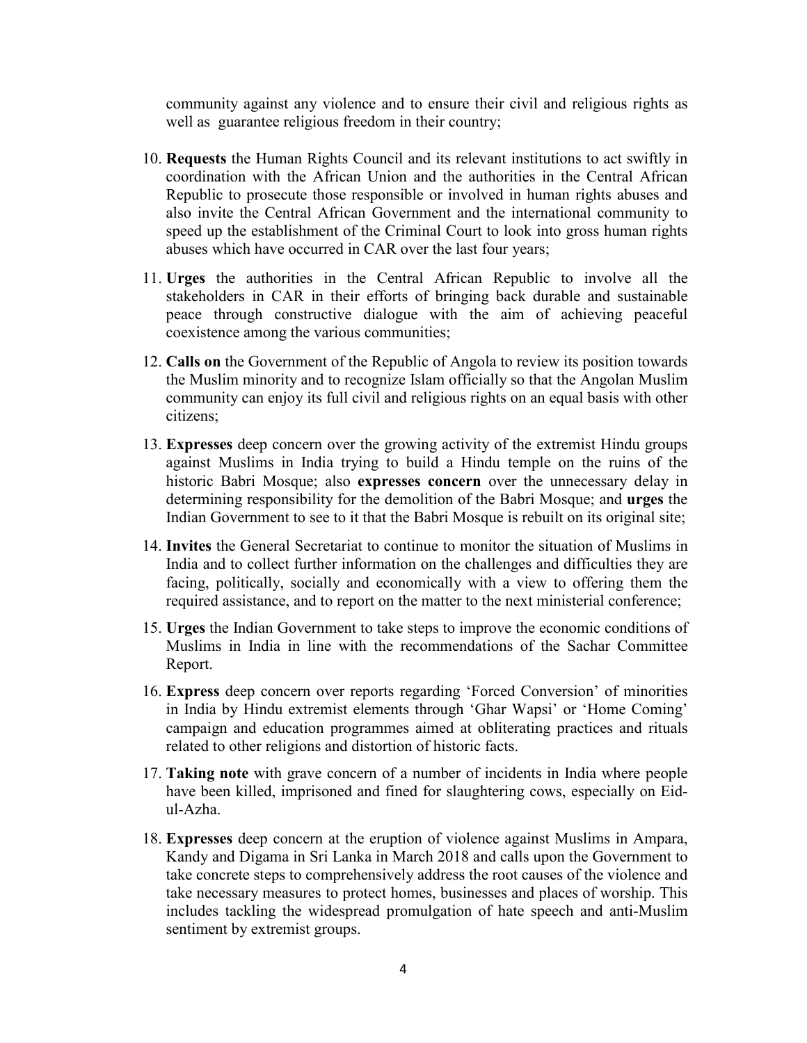community against any violence and to ensure their civil and religious rights as well as guarantee religious freedom in their country;

- 10. **Requests** the Human Rights Council and its relevant institutions to act swiftly in coordination with the African Union and the authorities in the Central African Republic to prosecute those responsible or involved in human rights abuses and also invite the Central African Government and the international community to speed up the establishment of the Criminal Court to look into gross human rights abuses which have occurred in CAR over the last four years;
- 11. **Urges** the authorities in the Central African Republic to involve all the stakeholders in CAR in their efforts of bringing back durable and sustainable peace through constructive dialogue with the aim of achieving peaceful coexistence among the various communities;
- 12. **Calls on** the Government of the Republic of Angola to review its position towards the Muslim minority and to recognize Islam officially so that the Angolan Muslim community can enjoy its full civil and religious rights on an equal basis with other citizens;
- 13. **Expresses** deep concern over the growing activity of the extremist Hindu groups against Muslims in India trying to build a Hindu temple on the ruins of the historic Babri Mosque; also **expresses concern** over the unnecessary delay in determining responsibility for the demolition of the Babri Mosque; and **urges** the Indian Government to see to it that the Babri Mosque is rebuilt on its original site;
- 14. **Invites** the General Secretariat to continue to monitor the situation of Muslims in India and to collect further information on the challenges and difficulties they are facing, politically, socially and economically with a view to offering them the required assistance, and to report on the matter to the next ministerial conference;
- 15. **Urges** the Indian Government to take steps to improve the economic conditions of Muslims in India in line with the recommendations of the Sachar Committee Report.
- 16. **Express** deep concern over reports regarding 'Forced Conversion' of minorities in India by Hindu extremist elements through 'Ghar Wapsi' or 'Home Coming' campaign and education programmes aimed at obliterating practices and rituals related to other religions and distortion of historic facts.
- 17. **Taking note** with grave concern of a number of incidents in India where people have been killed, imprisoned and fined for slaughtering cows, especially on Eidul-Azha.
- 18. **Expresses** deep concern at the eruption of violence against Muslims in Ampara, Kandy and Digama in Sri Lanka in March 2018 and calls upon the Government to take concrete steps to comprehensively address the root causes of the violence and take necessary measures to protect homes, businesses and places of worship. This includes tackling the widespread promulgation of hate speech and anti-Muslim sentiment by extremist groups.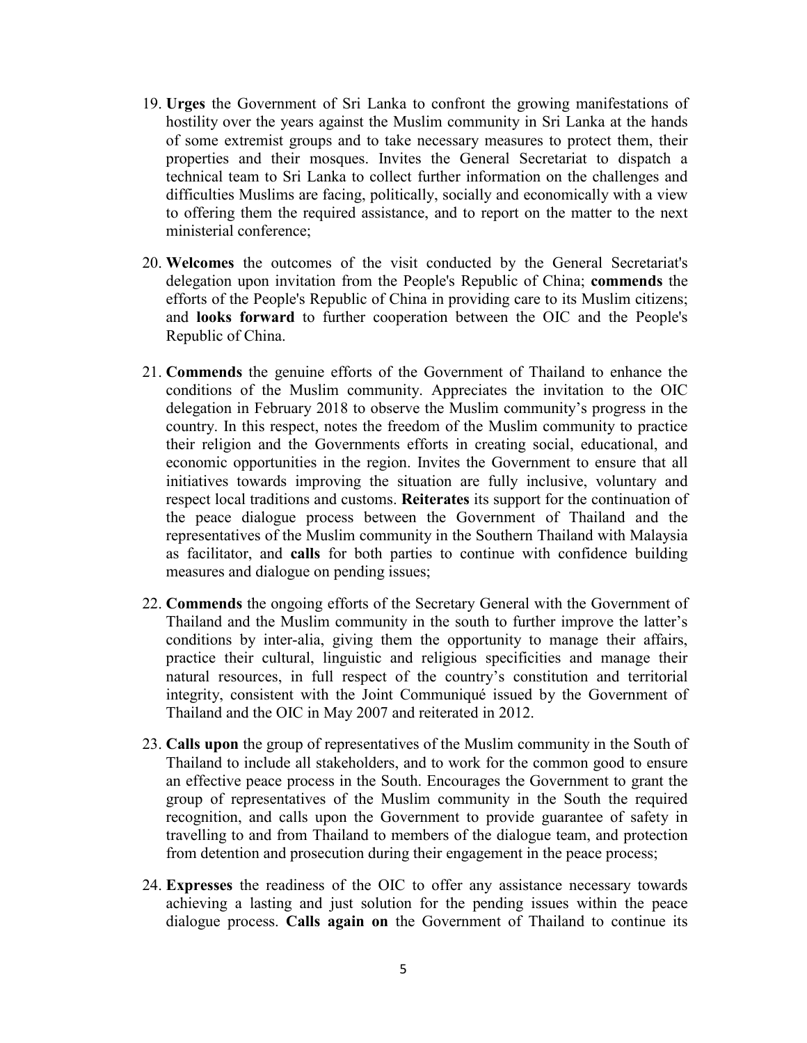- 19. **Urges** the Government of Sri Lanka to confront the growing manifestations of hostility over the years against the Muslim community in Sri Lanka at the hands of some extremist groups and to take necessary measures to protect them, their properties and their mosques. Invites the General Secretariat to dispatch a technical team to Sri Lanka to collect further information on the challenges and difficulties Muslims are facing, politically, socially and economically with a view to offering them the required assistance, and to report on the matter to the next ministerial conference;
- 20. **Welcomes** the outcomes of the visit conducted by the General Secretariat's delegation upon invitation from the People's Republic of China; **commends** the efforts of the People's Republic of China in providing care to its Muslim citizens; and **looks forward** to further cooperation between the OIC and the People's Republic of China.
- 21. **Commends** the genuine efforts of the Government of Thailand to enhance the conditions of the Muslim community. Appreciates the invitation to the OIC delegation in February 2018 to observe the Muslim community's progress in the country. In this respect, notes the freedom of the Muslim community to practice their religion and the Governments efforts in creating social, educational, and economic opportunities in the region. Invites the Government to ensure that all initiatives towards improving the situation are fully inclusive, voluntary and respect local traditions and customs. **Reiterates** its support for the continuation of the peace dialogue process between the Government of Thailand and the representatives of the Muslim community in the Southern Thailand with Malaysia as facilitator, and **calls** for both parties to continue with confidence building measures and dialogue on pending issues;
- 22. **Commends** the ongoing efforts of the Secretary General with the Government of Thailand and the Muslim community in the south to further improve the latter's conditions by inter-alia, giving them the opportunity to manage their affairs, practice their cultural, linguistic and religious specificities and manage their natural resources, in full respect of the country's constitution and territorial integrity, consistent with the Joint Communiqué issued by the Government of Thailand and the OIC in May 2007 and reiterated in 2012.
- 23. **Calls upon** the group of representatives of the Muslim community in the South of Thailand to include all stakeholders, and to work for the common good to ensure an effective peace process in the South. Encourages the Government to grant the group of representatives of the Muslim community in the South the required recognition, and calls upon the Government to provide guarantee of safety in travelling to and from Thailand to members of the dialogue team, and protection from detention and prosecution during their engagement in the peace process;
- 24. **Expresses** the readiness of the OIC to offer any assistance necessary towards achieving a lasting and just solution for the pending issues within the peace dialogue process. **Calls again on** the Government of Thailand to continue its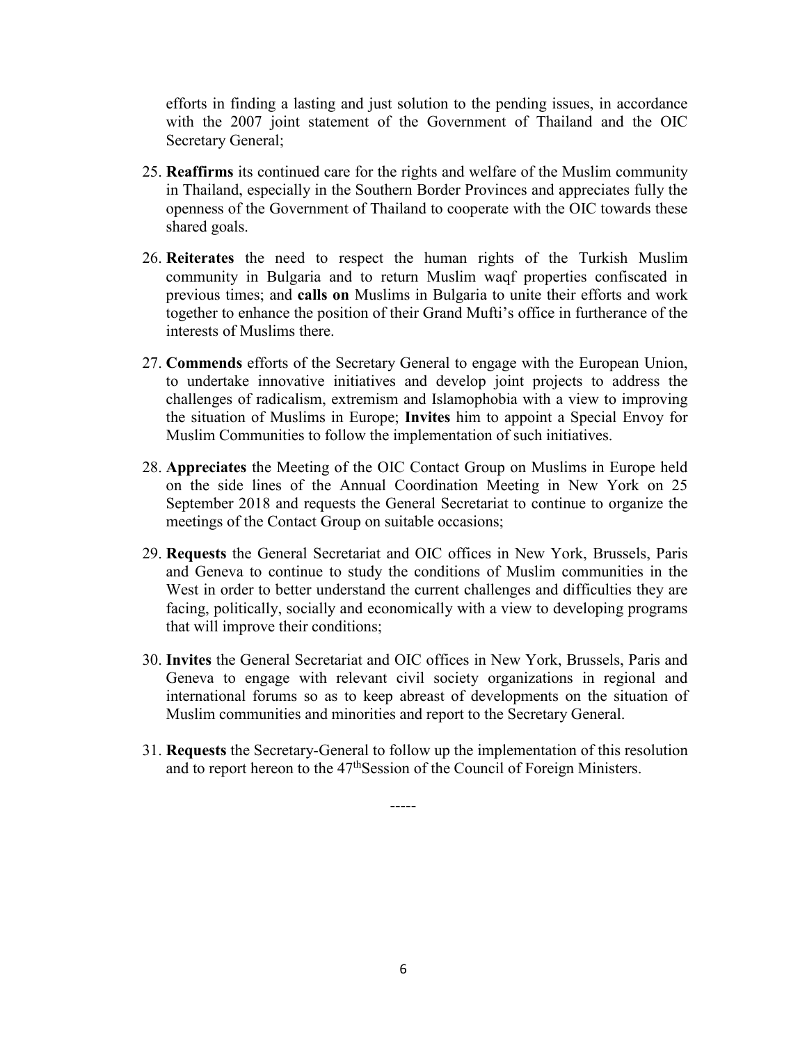efforts in finding a lasting and just solution to the pending issues, in accordance with the 2007 joint statement of the Government of Thailand and the OIC Secretary General;

- 25. **Reaffirms** its continued care for the rights and welfare of the Muslim community in Thailand, especially in the Southern Border Provinces and appreciates fully the openness of the Government of Thailand to cooperate with the OIC towards these shared goals.
- 26. **Reiterates** the need to respect the human rights of the Turkish Muslim community in Bulgaria and to return Muslim waqf properties confiscated in previous times; and **calls on** Muslims in Bulgaria to unite their efforts and work together to enhance the position of their Grand Mufti's office in furtherance of the interests of Muslims there.
- 27. **Commends** efforts of the Secretary General to engage with the European Union, to undertake innovative initiatives and develop joint projects to address the challenges of radicalism, extremism and Islamophobia with a view to improving the situation of Muslims in Europe; **Invites** him to appoint a Special Envoy for Muslim Communities to follow the implementation of such initiatives.
- 28. **Appreciates** the Meeting of the OIC Contact Group on Muslims in Europe held on the side lines of the Annual Coordination Meeting in New York on 25 September 2018 and requests the General Secretariat to continue to organize the meetings of the Contact Group on suitable occasions;
- 29. **Requests** the General Secretariat and OIC offices in New York, Brussels, Paris and Geneva to continue to study the conditions of Muslim communities in the West in order to better understand the current challenges and difficulties they are facing, politically, socially and economically with a view to developing programs that will improve their conditions;
- 30. **Invites** the General Secretariat and OIC offices in New York, Brussels, Paris and Geneva to engage with relevant civil society organizations in regional and international forums so as to keep abreast of developments on the situation of Muslim communities and minorities and report to the Secretary General.
- 31. **Requests** the Secretary-General to follow up the implementation of this resolution and to report hereon to the 47<sup>th</sup>Session of the Council of Foreign Ministers.

-----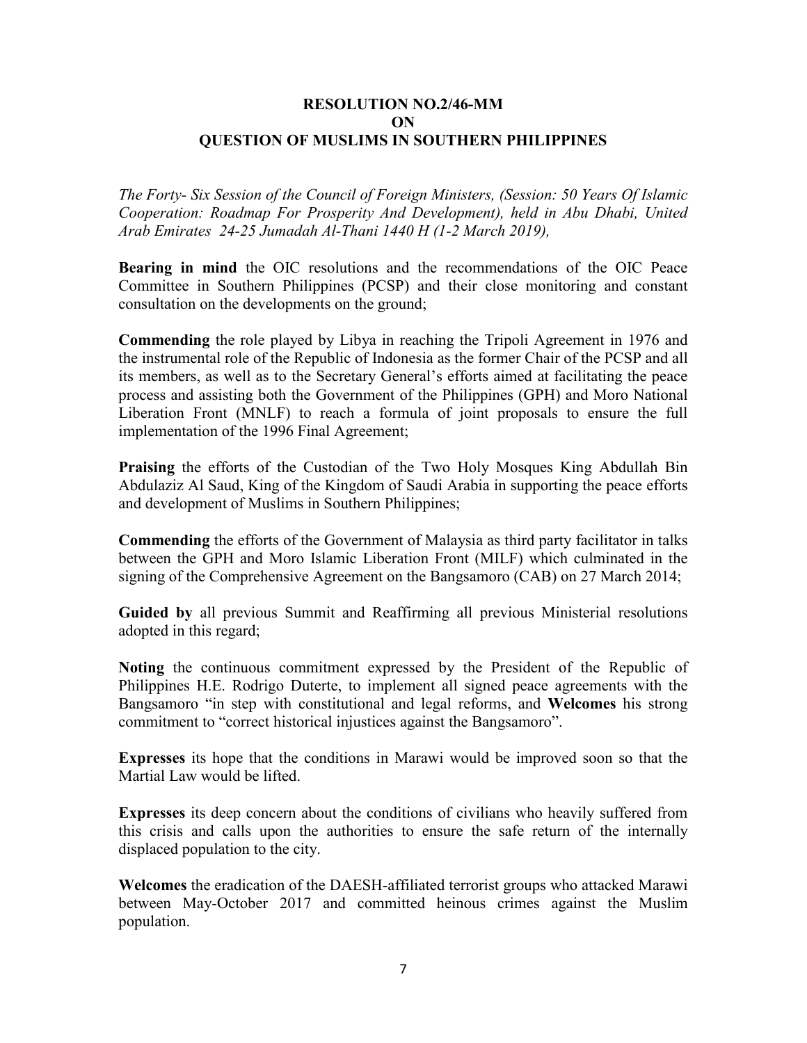#### **RESOLUTION NO.2/46-MM ON QUESTION OF MUSLIMS IN SOUTHERN PHILIPPINES**

*The Forty- Six Session of the Council of Foreign Ministers, (Session: 50 Years Of Islamic Cooperation: Roadmap For Prosperity And Development), held in Abu Dhabi, United Arab Emirates 24-25 Jumadah Al-Thani 1440 H (1-2 March 2019),*

**Bearing in mind** the OIC resolutions and the recommendations of the OIC Peace Committee in Southern Philippines (PCSP) and their close monitoring and constant consultation on the developments on the ground;

**Commending** the role played by Libya in reaching the Tripoli Agreement in 1976 and the instrumental role of the Republic of Indonesia as the former Chair of the PCSP and all its members, as well as to the Secretary General's efforts aimed at facilitating the peace process and assisting both the Government of the Philippines (GPH) and Moro National Liberation Front (MNLF) to reach a formula of joint proposals to ensure the full implementation of the 1996 Final Agreement;

**Praising** the efforts of the Custodian of the Two Holy Mosques King Abdullah Bin Abdulaziz Al Saud, King of the Kingdom of Saudi Arabia in supporting the peace efforts and development of Muslims in Southern Philippines;

**Commending** the efforts of the Government of Malaysia as third party facilitator in talks between the GPH and Moro Islamic Liberation Front (MILF) which culminated in the signing of the Comprehensive Agreement on the Bangsamoro (CAB) on 27 March 2014;

**Guided by** all previous Summit and Reaffirming all previous Ministerial resolutions adopted in this regard;

**Noting** the continuous commitment expressed by the President of the Republic of Philippines H.E. Rodrigo Duterte, to implement all signed peace agreements with the Bangsamoro "in step with constitutional and legal reforms, and **Welcomes** his strong commitment to "correct historical injustices against the Bangsamoro".

**Expresses** its hope that the conditions in Marawi would be improved soon so that the Martial Law would be lifted.

**Expresses** its deep concern about the conditions of civilians who heavily suffered from this crisis and calls upon the authorities to ensure the safe return of the internally displaced population to the city.

**Welcomes** the eradication of the DAESH-affiliated terrorist groups who attacked Marawi between May-October 2017 and committed heinous crimes against the Muslim population.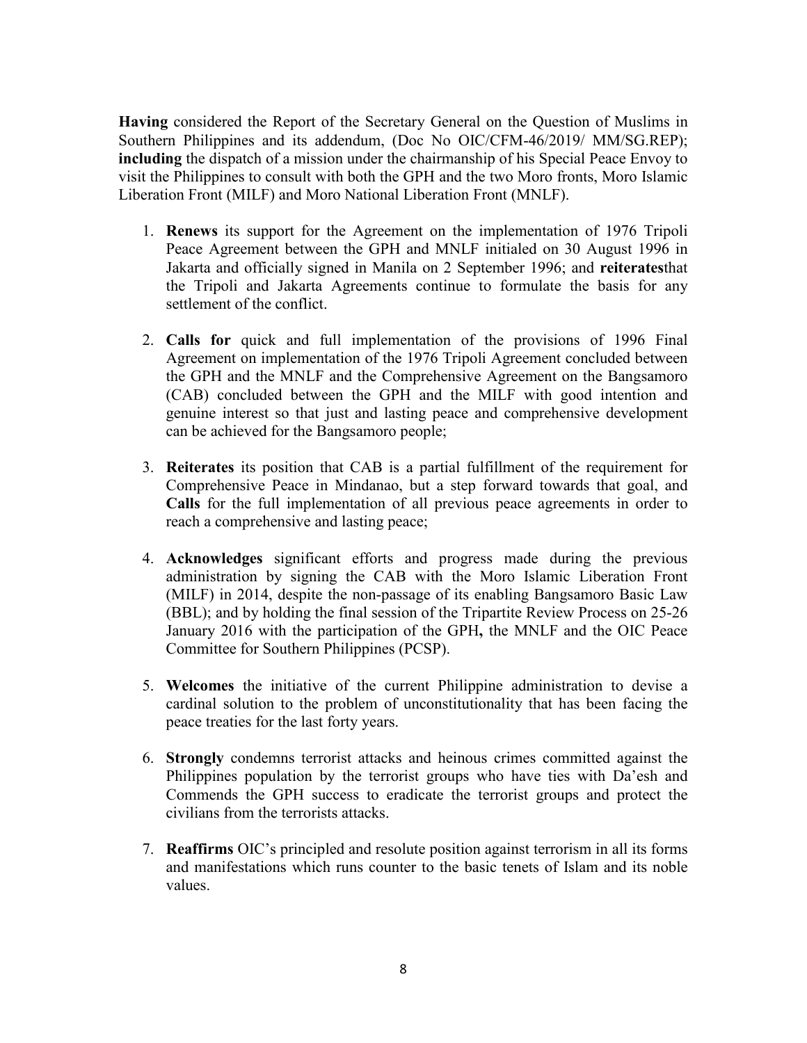**Having** considered the Report of the Secretary General on the Question of Muslims in Southern Philippines and its addendum, (Doc No OIC/CFM-46/2019/ MM/SG.REP); **including** the dispatch of a mission under the chairmanship of his Special Peace Envoy to visit the Philippines to consult with both the GPH and the two Moro fronts, Moro Islamic Liberation Front (MILF) and Moro National Liberation Front (MNLF).

- 1. **Renews** its support for the Agreement on the implementation of 1976 Tripoli Peace Agreement between the GPH and MNLF initialed on 30 August 1996 in Jakarta and officially signed in Manila on 2 September 1996; and **reiterates**that the Tripoli and Jakarta Agreements continue to formulate the basis for any settlement of the conflict.
- 2. **Calls for** quick and full implementation of the provisions of 1996 Final Agreement on implementation of the 1976 Tripoli Agreement concluded between the GPH and the MNLF and the Comprehensive Agreement on the Bangsamoro (CAB) concluded between the GPH and the MILF with good intention and genuine interest so that just and lasting peace and comprehensive development can be achieved for the Bangsamoro people;
- 3. **Reiterates** its position that CAB is a partial fulfillment of the requirement for Comprehensive Peace in Mindanao, but a step forward towards that goal, and **Calls** for the full implementation of all previous peace agreements in order to reach a comprehensive and lasting peace;
- 4. **Acknowledges** significant efforts and progress made during the previous administration by signing the CAB with the Moro Islamic Liberation Front (MILF) in 2014, despite the non-passage of its enabling Bangsamoro Basic Law (BBL); and by holding the final session of the Tripartite Review Process on 25-26 January 2016 with the participation of the GPH**,** the MNLF and the OIC Peace Committee for Southern Philippines (PCSP).
- 5. **Welcomes** the initiative of the current Philippine administration to devise a cardinal solution to the problem of unconstitutionality that has been facing the peace treaties for the last forty years.
- 6. **Strongly** condemns terrorist attacks and heinous crimes committed against the Philippines population by the terrorist groups who have ties with Da'esh and Commends the GPH success to eradicate the terrorist groups and protect the civilians from the terrorists attacks.
- 7. **Reaffirms** OIC's principled and resolute position against terrorism in all its forms and manifestations which runs counter to the basic tenets of Islam and its noble values.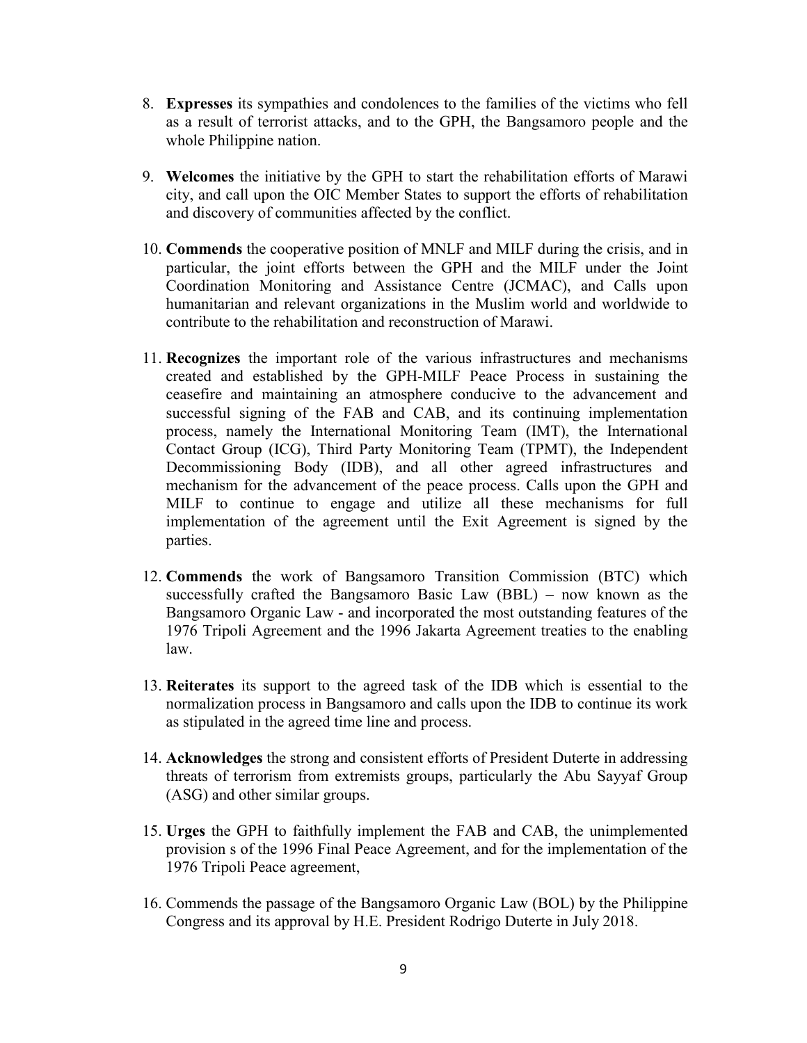- 8. **Expresses** its sympathies and condolences to the families of the victims who fell as a result of terrorist attacks, and to the GPH, the Bangsamoro people and the whole Philippine nation.
- 9. **Welcomes** the initiative by the GPH to start the rehabilitation efforts of Marawi city, and call upon the OIC Member States to support the efforts of rehabilitation and discovery of communities affected by the conflict.
- 10. **Commends** the cooperative position of MNLF and MILF during the crisis, and in particular, the joint efforts between the GPH and the MILF under the Joint Coordination Monitoring and Assistance Centre (JCMAC), and Calls upon humanitarian and relevant organizations in the Muslim world and worldwide to contribute to the rehabilitation and reconstruction of Marawi.
- 11. **Recognizes** the important role of the various infrastructures and mechanisms created and established by the GPH-MILF Peace Process in sustaining the ceasefire and maintaining an atmosphere conducive to the advancement and successful signing of the FAB and CAB, and its continuing implementation process, namely the International Monitoring Team (IMT), the International Contact Group (ICG), Third Party Monitoring Team (TPMT), the Independent Decommissioning Body (IDB), and all other agreed infrastructures and mechanism for the advancement of the peace process. Calls upon the GPH and MILF to continue to engage and utilize all these mechanisms for full implementation of the agreement until the Exit Agreement is signed by the parties.
- 12. **Commends** the work of Bangsamoro Transition Commission (BTC) which successfully crafted the Bangsamoro Basic Law (BBL) – now known as the Bangsamoro Organic Law - and incorporated the most outstanding features of the 1976 Tripoli Agreement and the 1996 Jakarta Agreement treaties to the enabling law.
- 13. **Reiterates** its support to the agreed task of the IDB which is essential to the normalization process in Bangsamoro and calls upon the IDB to continue its work as stipulated in the agreed time line and process.
- 14. **Acknowledges** the strong and consistent efforts of President Duterte in addressing threats of terrorism from extremists groups, particularly the Abu Sayyaf Group (ASG) and other similar groups.
- 15. **Urges** the GPH to faithfully implement the FAB and CAB, the unimplemented provision s of the 1996 Final Peace Agreement, and for the implementation of the 1976 Tripoli Peace agreement,
- 16. Commends the passage of the Bangsamoro Organic Law (BOL) by the Philippine Congress and its approval by H.E. President Rodrigo Duterte in July 2018.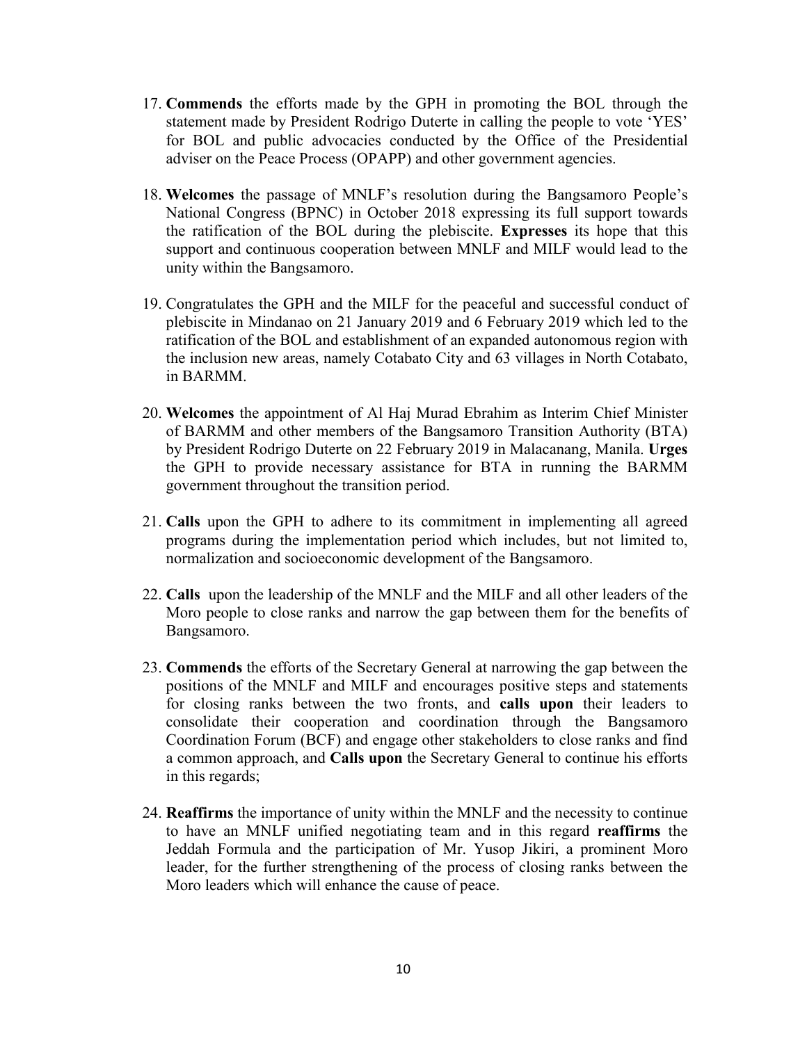- 17. **Commends** the efforts made by the GPH in promoting the BOL through the statement made by President Rodrigo Duterte in calling the people to vote 'YES' for BOL and public advocacies conducted by the Office of the Presidential adviser on the Peace Process (OPAPP) and other government agencies.
- 18. **Welcomes** the passage of MNLF's resolution during the Bangsamoro People's National Congress (BPNC) in October 2018 expressing its full support towards the ratification of the BOL during the plebiscite. **Expresses** its hope that this support and continuous cooperation between MNLF and MILF would lead to the unity within the Bangsamoro.
- 19. Congratulates the GPH and the MILF for the peaceful and successful conduct of plebiscite in Mindanao on 21 January 2019 and 6 February 2019 which led to the ratification of the BOL and establishment of an expanded autonomous region with the inclusion new areas, namely Cotabato City and 63 villages in North Cotabato, in BARMM.
- 20. **Welcomes** the appointment of Al Haj Murad Ebrahim as Interim Chief Minister of BARMM and other members of the Bangsamoro Transition Authority (BTA) by President Rodrigo Duterte on 22 February 2019 in Malacanang, Manila. **Urges** the GPH to provide necessary assistance for BTA in running the BARMM government throughout the transition period.
- 21. **Calls** upon the GPH to adhere to its commitment in implementing all agreed programs during the implementation period which includes, but not limited to, normalization and socioeconomic development of the Bangsamoro.
- 22. **Calls** upon the leadership of the MNLF and the MILF and all other leaders of the Moro people to close ranks and narrow the gap between them for the benefits of Bangsamoro.
- 23. **Commends** the efforts of the Secretary General at narrowing the gap between the positions of the MNLF and MILF and encourages positive steps and statements for closing ranks between the two fronts, and **calls upon** their leaders to consolidate their cooperation and coordination through the Bangsamoro Coordination Forum (BCF) and engage other stakeholders to close ranks and find a common approach, and **Calls upon** the Secretary General to continue his efforts in this regards;
- 24. **Reaffirms** the importance of unity within the MNLF and the necessity to continue to have an MNLF unified negotiating team and in this regard **reaffirms** the Jeddah Formula and the participation of Mr. Yusop Jikiri, a prominent Moro leader, for the further strengthening of the process of closing ranks between the Moro leaders which will enhance the cause of peace.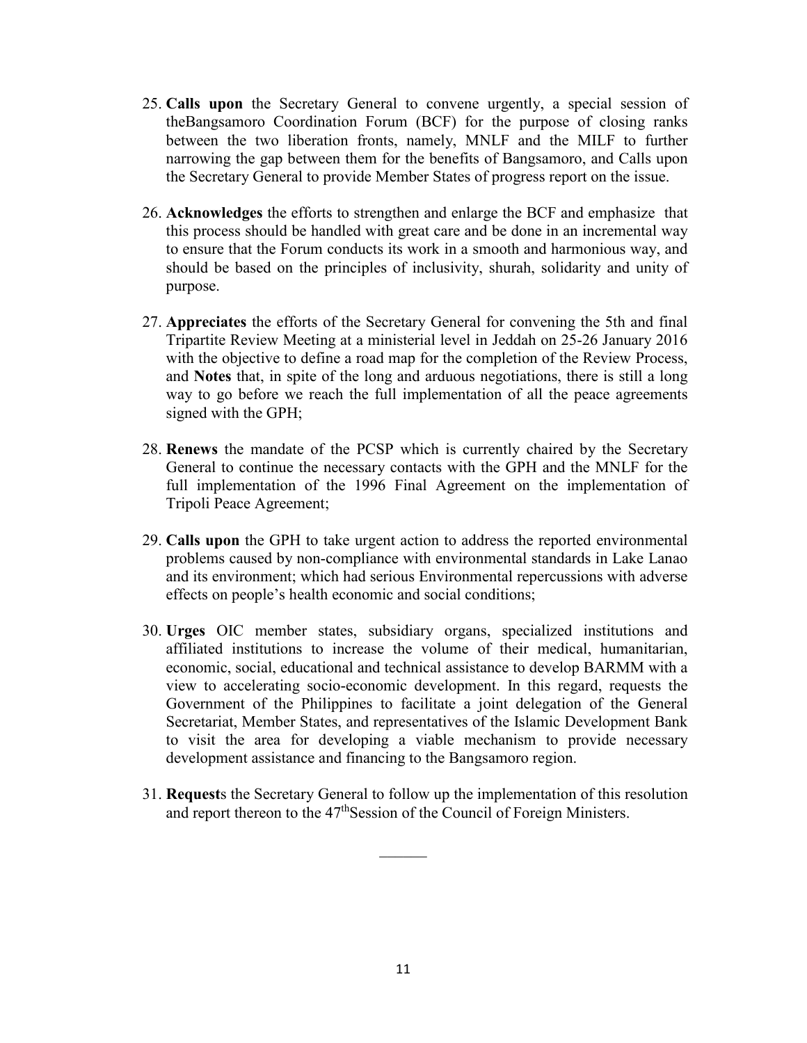- 25. **Calls upon** the Secretary General to convene urgently, a special session of theBangsamoro Coordination Forum (BCF) for the purpose of closing ranks between the two liberation fronts, namely, MNLF and the MILF to further narrowing the gap between them for the benefits of Bangsamoro, and Calls upon the Secretary General to provide Member States of progress report on the issue.
- 26. **Acknowledges** the efforts to strengthen and enlarge the BCF and emphasize that this process should be handled with great care and be done in an incremental way to ensure that the Forum conducts its work in a smooth and harmonious way, and should be based on the principles of inclusivity, shurah, solidarity and unity of purpose.
- 27. **Appreciates** the efforts of the Secretary General for convening the 5th and final Tripartite Review Meeting at a ministerial level in Jeddah on 25-26 January 2016 with the objective to define a road map for the completion of the Review Process, and **Notes** that, in spite of the long and arduous negotiations, there is still a long way to go before we reach the full implementation of all the peace agreements signed with the GPH;
- 28. **Renews** the mandate of the PCSP which is currently chaired by the Secretary General to continue the necessary contacts with the GPH and the MNLF for the full implementation of the 1996 Final Agreement on the implementation of Tripoli Peace Agreement;
- 29. **Calls upon** the GPH to take urgent action to address the reported environmental problems caused by non-compliance with environmental standards in Lake Lanao and its environment; which had serious Environmental repercussions with adverse effects on people's health economic and social conditions;
- 30. **Urges** OIC member states, subsidiary organs, specialized institutions and affiliated institutions to increase the volume of their medical, humanitarian, economic, social, educational and technical assistance to develop BARMM with a view to accelerating socio-economic development. In this regard, requests the Government of the Philippines to facilitate a joint delegation of the General Secretariat, Member States, and representatives of the Islamic Development Bank to visit the area for developing a viable mechanism to provide necessary development assistance and financing to the Bangsamoro region.
- 31. **Request**s the Secretary General to follow up the implementation of this resolution and report thereon to the 47<sup>th</sup>Session of the Council of Foreign Ministers.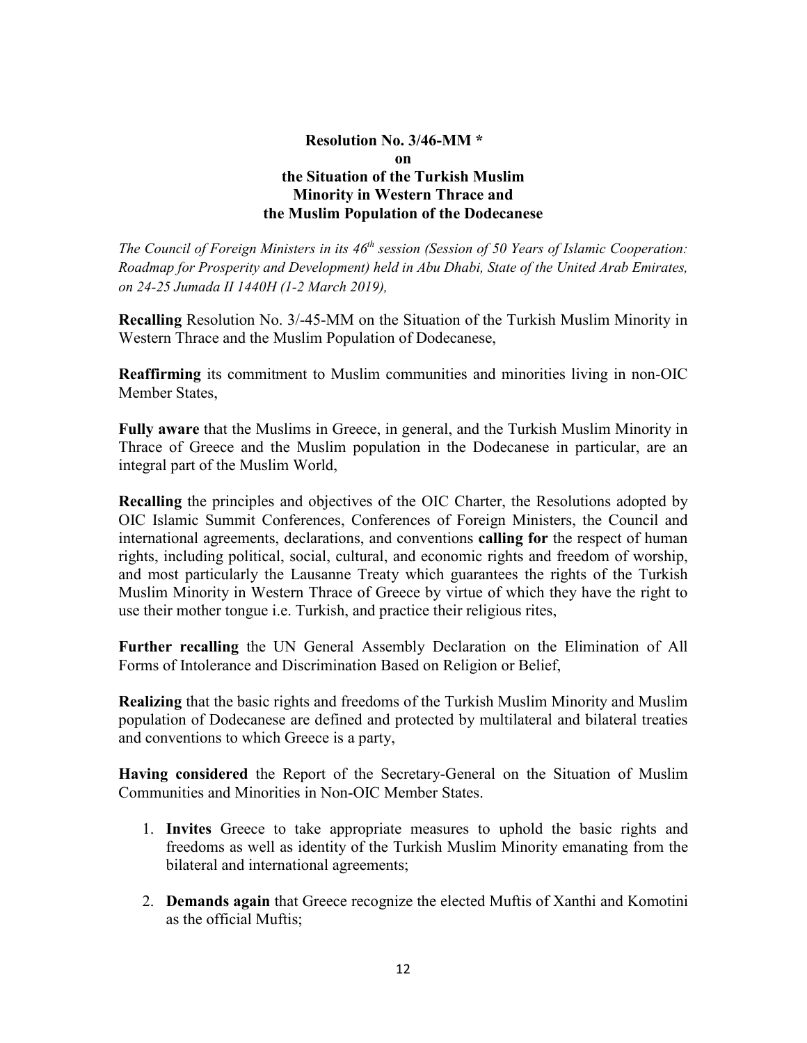### **Resolution No. 3/46-MM \* on the Situation of the Turkish Muslim Minority in Western Thrace and the Muslim Population of the Dodecanese**

*The Council of Foreign Ministers in its 46<sup>th</sup> session (Session of 50 Years of Islamic Cooperation: Roadmap for Prosperity and Development) held in Abu Dhabi, State of the United Arab Emirates, on 24-25 Jumada II 1440H (1-2 March 2019),* 

**Recalling** Resolution No. 3/-45-MM on the Situation of the Turkish Muslim Minority in Western Thrace and the Muslim Population of Dodecanese,

**Reaffirming** its commitment to Muslim communities and minorities living in non-OIC Member States,

**Fully aware** that the Muslims in Greece, in general, and the Turkish Muslim Minority in Thrace of Greece and the Muslim population in the Dodecanese in particular, are an integral part of the Muslim World,

**Recalling** the principles and objectives of the OIC Charter, the Resolutions adopted by OIC Islamic Summit Conferences, Conferences of Foreign Ministers, the Council and international agreements, declarations, and conventions **calling for** the respect of human rights, including political, social, cultural, and economic rights and freedom of worship, and most particularly the Lausanne Treaty which guarantees the rights of the Turkish Muslim Minority in Western Thrace of Greece by virtue of which they have the right to use their mother tongue i.e. Turkish, and practice their religious rites,

**Further recalling** the UN General Assembly Declaration on the Elimination of All Forms of Intolerance and Discrimination Based on Religion or Belief,

**Realizing** that the basic rights and freedoms of the Turkish Muslim Minority and Muslim population of Dodecanese are defined and protected by multilateral and bilateral treaties and conventions to which Greece is a party,

**Having considered** the Report of the Secretary-General on the Situation of Muslim Communities and Minorities in Non-OIC Member States.

- 1. **Invites** Greece to take appropriate measures to uphold the basic rights and freedoms as well as identity of the Turkish Muslim Minority emanating from the bilateral and international agreements;
- 2. **Demands again** that Greece recognize the elected Muftis of Xanthi and Komotini as the official Muftis;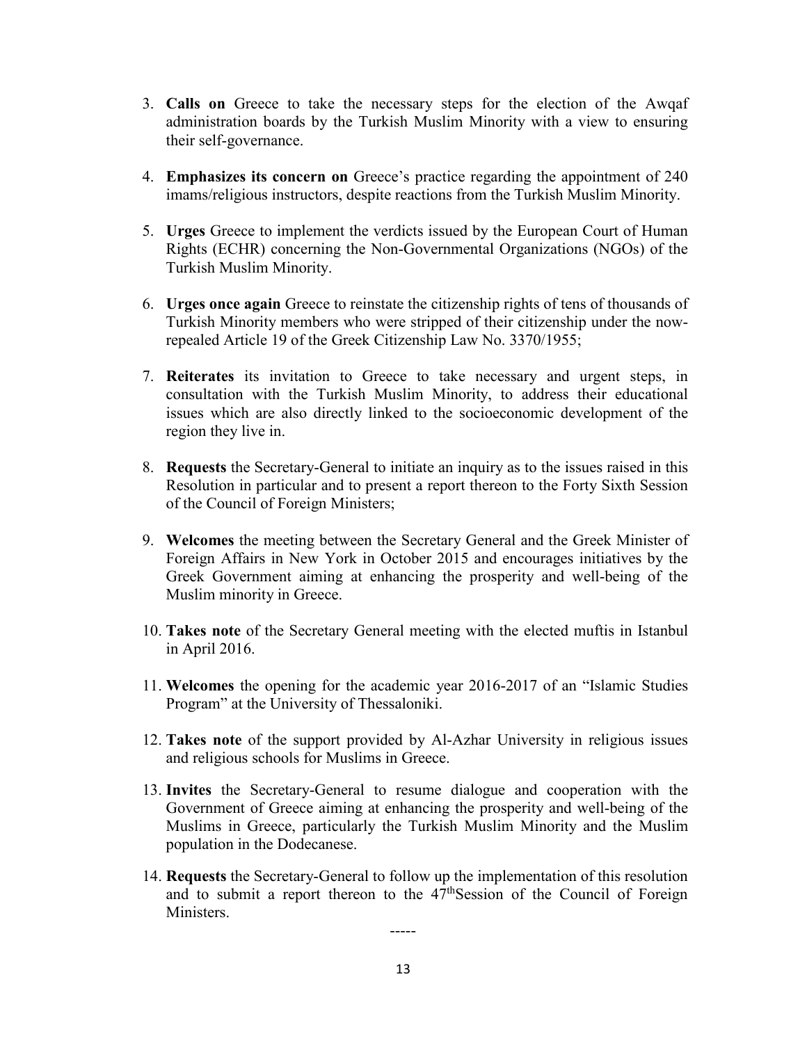- 3. **Calls on** Greece to take the necessary steps for the election of the Awqaf administration boards by the Turkish Muslim Minority with a view to ensuring their self-governance.
- 4. **Emphasizes its concern on** Greece's practice regarding the appointment of 240 imams/religious instructors, despite reactions from the Turkish Muslim Minority.
- 5. **Urges** Greece to implement the verdicts issued by the European Court of Human Rights (ECHR) concerning the Non-Governmental Organizations (NGOs) of the Turkish Muslim Minority.
- 6. **Urges once again** Greece to reinstate the citizenship rights of tens of thousands of Turkish Minority members who were stripped of their citizenship under the nowrepealed Article 19 of the Greek Citizenship Law No. 3370/1955;
- 7. **Reiterates** its invitation to Greece to take necessary and urgent steps, in consultation with the Turkish Muslim Minority, to address their educational issues which are also directly linked to the socioeconomic development of the region they live in.
- 8. **Requests** the Secretary-General to initiate an inquiry as to the issues raised in this Resolution in particular and to present a report thereon to the Forty Sixth Session of the Council of Foreign Ministers;
- 9. **Welcomes** the meeting between the Secretary General and the Greek Minister of Foreign Affairs in New York in October 2015 and encourages initiatives by the Greek Government aiming at enhancing the prosperity and well-being of the Muslim minority in Greece.
- 10. **Takes note** of the Secretary General meeting with the elected muftis in Istanbul in April 2016.
- 11. **Welcomes** the opening for the academic year 2016-2017 of an "Islamic Studies Program" at the University of Thessaloniki.
- 12. **Takes note** of the support provided by Al-Azhar University in religious issues and religious schools for Muslims in Greece.
- 13. **Invites** the Secretary-General to resume dialogue and cooperation with the Government of Greece aiming at enhancing the prosperity and well-being of the Muslims in Greece, particularly the Turkish Muslim Minority and the Muslim population in the Dodecanese.
- 14. **Requests** the Secretary-General to follow up the implementation of this resolution and to submit a report thereon to the  $47<sup>th</sup>$ Session of the Council of Foreign Ministers.

13

-----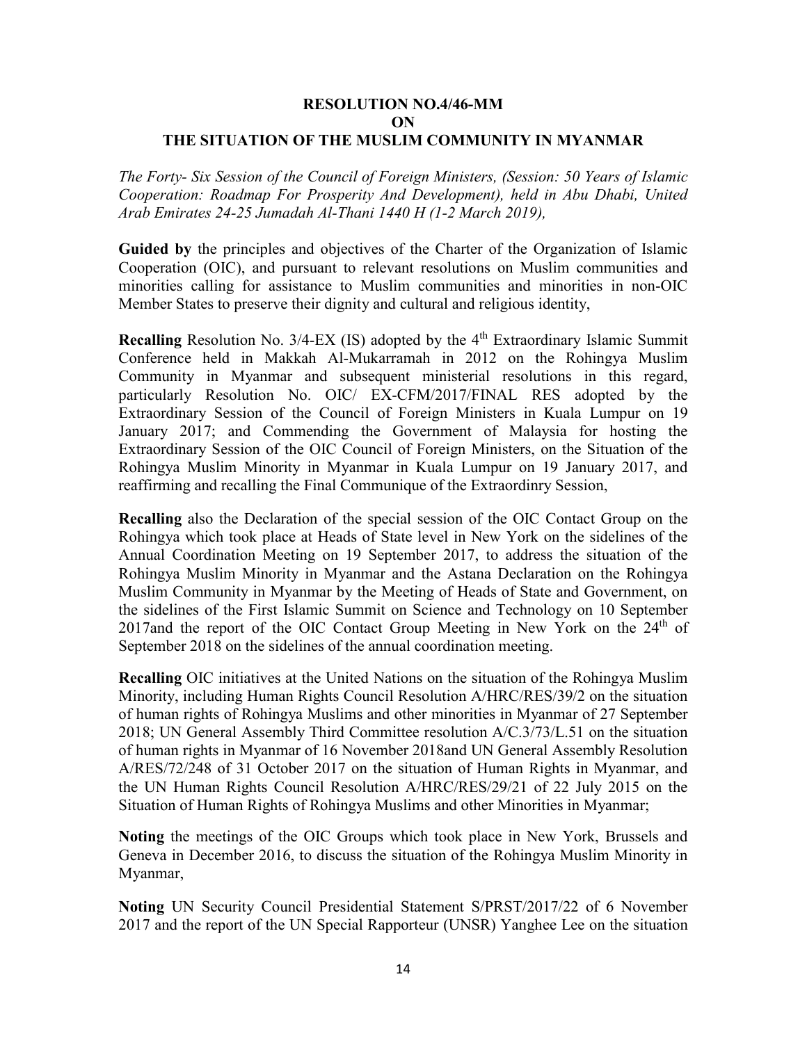#### **RESOLUTION NO.4/46-MM ON THE SITUATION OF THE MUSLIM COMMUNITY IN MYANMAR**

*The Forty- Six Session of the Council of Foreign Ministers, (Session: 50 Years of Islamic Cooperation: Roadmap For Prosperity And Development), held in Abu Dhabi, United Arab Emirates 24-25 Jumadah Al-Thani 1440 H (1-2 March 2019),*

**Guided by** the principles and objectives of the Charter of the Organization of Islamic Cooperation (OIC), and pursuant to relevant resolutions on Muslim communities and minorities calling for assistance to Muslim communities and minorities in non-OIC Member States to preserve their dignity and cultural and religious identity,

**Recalling** Resolution No.  $3/4$ -EX (IS) adopted by the  $4<sup>th</sup>$  Extraordinary Islamic Summit Conference held in Makkah Al-Mukarramah in 2012 on the Rohingya Muslim Community in Myanmar and subsequent ministerial resolutions in this regard, particularly Resolution No. OIC/ EX-CFM/2017/FINAL RES adopted by the Extraordinary Session of the Council of Foreign Ministers in Kuala Lumpur on 19 January 2017; and Commending the Government of Malaysia for hosting the Extraordinary Session of the OIC Council of Foreign Ministers, on the Situation of the Rohingya Muslim Minority in Myanmar in Kuala Lumpur on 19 January 2017, and reaffirming and recalling the Final Communique of the Extraordinry Session,

**Recalling** also the Declaration of the special session of the OIC Contact Group on the Rohingya which took place at Heads of State level in New York on the sidelines of the Annual Coordination Meeting on 19 September 2017, to address the situation of the Rohingya Muslim Minority in Myanmar and the Astana Declaration on the Rohingya Muslim Community in Myanmar by the Meeting of Heads of State and Government, on the sidelines of the First Islamic Summit on Science and Technology on 10 September 2017and the report of the OIC Contact Group Meeting in New York on the  $24<sup>th</sup>$  of September 2018 on the sidelines of the annual coordination meeting.

**Recalling** OIC initiatives at the United Nations on the situation of the Rohingya Muslim Minority, including Human Rights Council Resolution A/HRC/RES/39/2 on the situation of human rights of Rohingya Muslims and other minorities in Myanmar of 27 September 2018; UN General Assembly Third Committee resolution A/C.3/73/L.51 on the situation of human rights in Myanmar of 16 November 2018and UN General Assembly Resolution A/RES/72/248 of 31 October 2017 on the situation of Human Rights in Myanmar, and the UN Human Rights Council Resolution A/HRC/RES/29/21 of 22 July 2015 on the Situation of Human Rights of Rohingya Muslims and other Minorities in Myanmar;

**Noting** the meetings of the OIC Groups which took place in New York, Brussels and Geneva in December 2016, to discuss the situation of the Rohingya Muslim Minority in Myanmar,

**Noting** UN Security Council Presidential Statement S/PRST/2017/22 of 6 November 2017 and the report of the UN Special Rapporteur (UNSR) Yanghee Lee on the situation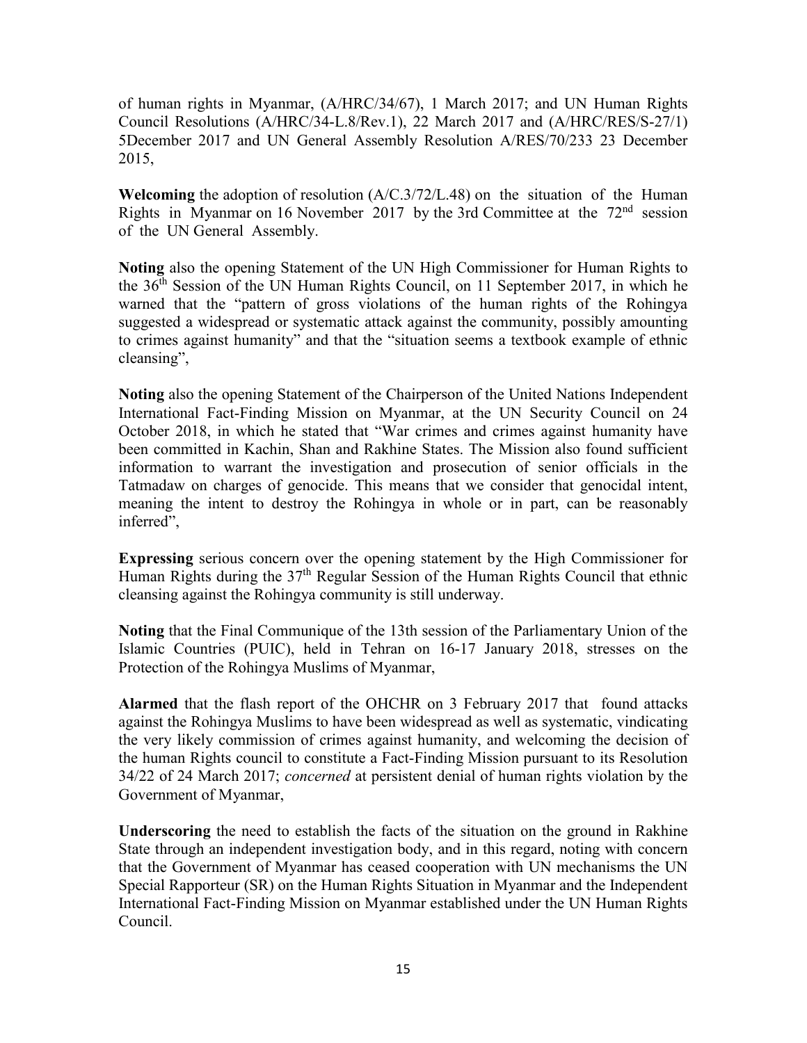of human rights in Myanmar, (A/HRC/34/67), 1 March 2017; and UN Human Rights Council Resolutions (A/HRC/34-L.8/Rev.1), 22 March 2017 and (A/HRC/RES/S-27/1) 5December 2017 and UN General Assembly Resolution A/RES/70/233 23 December 2015,

**Welcoming** the adoption of resolution (A/C.3/72/L.48) on the situation of the Human Rights in Myanmar on 16 November 2017 by the 3rd Committee at the  $72<sup>nd</sup>$  session of the UN General Assembly.

**Noting** also the opening Statement of the UN High Commissioner for Human Rights to the 36th Session of the UN Human Rights Council, on 11 September 2017, in which he warned that the "pattern of gross violations of the human rights of the Rohingya suggested a widespread or systematic attack against the community, possibly amounting to crimes against humanity" and that the "situation seems a textbook example of ethnic cleansing",

**Noting** also the opening Statement of the Chairperson of the United Nations Independent International Fact-Finding Mission on Myanmar, at the UN Security Council on 24 October 2018, in which he stated that "War crimes and crimes against humanity have been committed in Kachin, Shan and Rakhine States. The Mission also found sufficient information to warrant the investigation and prosecution of senior officials in the Tatmadaw on charges of genocide. This means that we consider that genocidal intent, meaning the intent to destroy the Rohingya in whole or in part, can be reasonably inferred",

**Expressing** serious concern over the opening statement by the High Commissioner for Human Rights during the  $37<sup>th</sup>$  Regular Session of the Human Rights Council that ethnic cleansing against the Rohingya community is still underway.

**Noting** that the Final Communique of the 13th session of the Parliamentary Union of the Islamic Countries (PUIC), held in Tehran on 16-17 January 2018, stresses on the Protection of the Rohingya Muslims of Myanmar,

**Alarmed** that the flash report of the OHCHR on 3 February 2017 that found attacks against the Rohingya Muslims to have been widespread as well as systematic, vindicating the very likely commission of crimes against humanity, and welcoming the decision of the human Rights council to constitute a Fact-Finding Mission pursuant to its Resolution 34/22 of 24 March 2017; *concerned* at persistent denial of human rights violation by the Government of Myanmar,

**Underscoring** the need to establish the facts of the situation on the ground in Rakhine State through an independent investigation body, and in this regard, noting with concern that the Government of Myanmar has ceased cooperation with UN mechanisms the UN Special Rapporteur (SR) on the Human Rights Situation in Myanmar and the Independent International Fact-Finding Mission on Myanmar established under the UN Human Rights Council.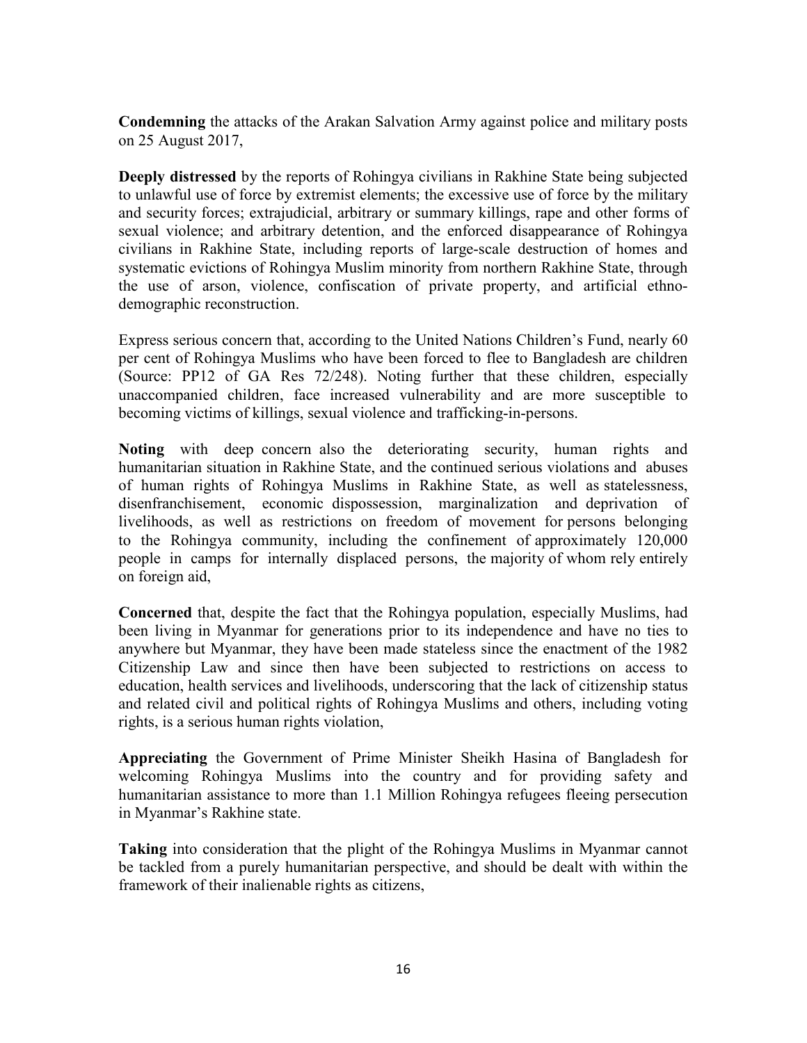**Condemning** the attacks of the Arakan Salvation Army against police and military posts on 25 August 2017,

**Deeply distressed** by the reports of Rohingya civilians in Rakhine State being subjected to unlawful use of force by extremist elements; the excessive use of force by the military and security forces; extrajudicial, arbitrary or summary killings, rape and other forms of sexual violence; and arbitrary detention, and the enforced disappearance of Rohingya civilians in Rakhine State, including reports of large-scale destruction of homes and systematic evictions of Rohingya Muslim minority from northern Rakhine State, through the use of arson, violence, confiscation of private property, and artificial ethnodemographic reconstruction.

Express serious concern that, according to the United Nations Children's Fund, nearly 60 per cent of Rohingya Muslims who have been forced to flee to Bangladesh are children (Source: PP12 of GA Res 72/248). Noting further that these children, especially unaccompanied children, face increased vulnerability and are more susceptible to becoming victims of killings, sexual violence and trafficking-in-persons.

**Noting** with deep concern also the deteriorating security, human rights and humanitarian situation in Rakhine State, and the continued serious violations and abuses of human rights of Rohingya Muslims in Rakhine State, as well as statelessness, disenfranchisement, economic dispossession, marginalization and deprivation of livelihoods, as well as restrictions on freedom of movement for persons belonging to the Rohingya community, including the confinement of approximately 120,000 people in camps for internally displaced persons, the majority of whom rely entirely on foreign aid,

**Concerned** that, despite the fact that the Rohingya population, especially Muslims, had been living in Myanmar for generations prior to its independence and have no ties to anywhere but Myanmar, they have been made stateless since the enactment of the 1982 Citizenship Law and since then have been subjected to restrictions on access to education, health services and livelihoods, underscoring that the lack of citizenship status and related civil and political rights of Rohingya Muslims and others, including voting rights, is a serious human rights violation,

**Appreciating** the Government of Prime Minister Sheikh Hasina of Bangladesh for welcoming Rohingya Muslims into the country and for providing safety and humanitarian assistance to more than 1.1 Million Rohingya refugees fleeing persecution in Myanmar's Rakhine state.

**Taking** into consideration that the plight of the Rohingya Muslims in Myanmar cannot be tackled from a purely humanitarian perspective, and should be dealt with within the framework of their inalienable rights as citizens,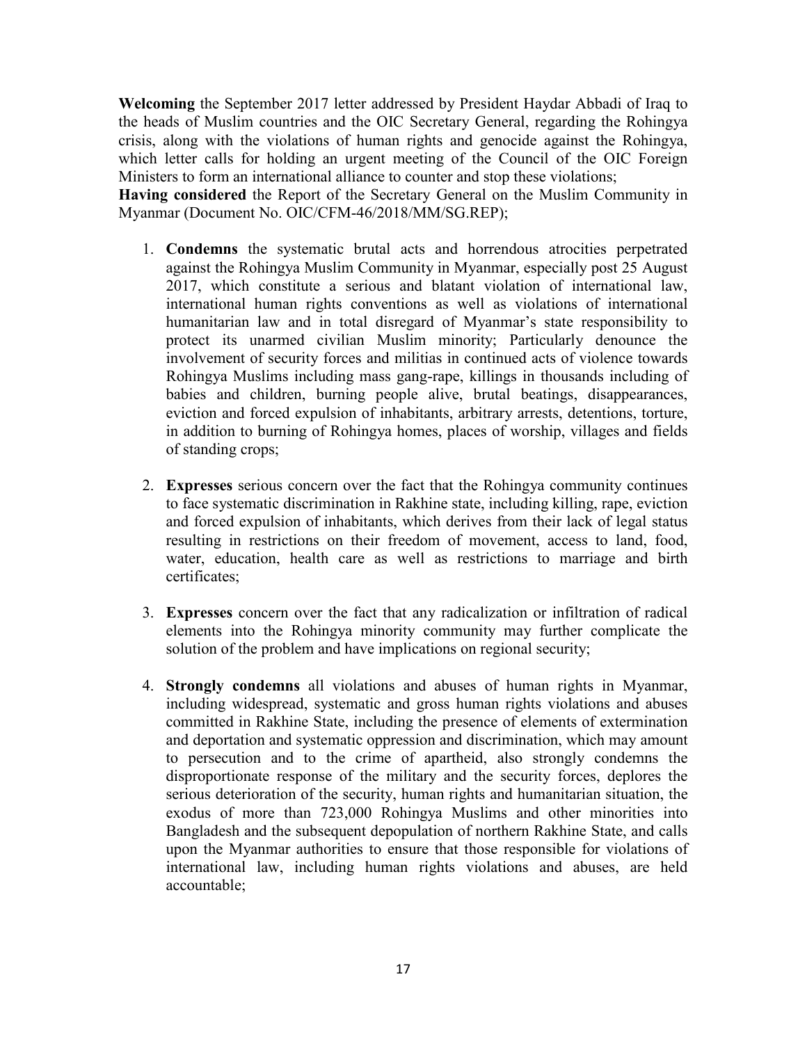**Welcoming** the September 2017 letter addressed by President Haydar Abbadi of Iraq to the heads of Muslim countries and the OIC Secretary General, regarding the Rohingya crisis, along with the violations of human rights and genocide against the Rohingya, which letter calls for holding an urgent meeting of the Council of the OIC Foreign Ministers to form an international alliance to counter and stop these violations;

**Having considered** the Report of the Secretary General on the Muslim Community in Myanmar (Document No. OIC/CFM-46/2018/MM/SG.REP);

- 1. **Condemns** the systematic brutal acts and horrendous atrocities perpetrated against the Rohingya Muslim Community in Myanmar, especially post 25 August 2017, which constitute a serious and blatant violation of international law, international human rights conventions as well as violations of international humanitarian law and in total disregard of Myanmar's state responsibility to protect its unarmed civilian Muslim minority; Particularly denounce the involvement of security forces and militias in continued acts of violence towards Rohingya Muslims including mass gang-rape, killings in thousands including of babies and children, burning people alive, brutal beatings, disappearances, eviction and forced expulsion of inhabitants, arbitrary arrests, detentions, torture, in addition to burning of Rohingya homes, places of worship, villages and fields of standing crops;
- 2. **Expresses** serious concern over the fact that the Rohingya community continues to face systematic discrimination in Rakhine state, including killing, rape, eviction and forced expulsion of inhabitants, which derives from their lack of legal status resulting in restrictions on their freedom of movement, access to land, food, water, education, health care as well as restrictions to marriage and birth certificates;
- 3. **Expresses** concern over the fact that any radicalization or infiltration of radical elements into the Rohingya minority community may further complicate the solution of the problem and have implications on regional security;
- 4. **Strongly condemns** all violations and abuses of human rights in Myanmar, including widespread, systematic and gross human rights violations and abuses committed in Rakhine State, including the presence of elements of extermination and deportation and systematic oppression and discrimination, which may amount to persecution and to the crime of apartheid, also strongly condemns the disproportionate response of the military and the security forces, deplores the serious deterioration of the security, human rights and humanitarian situation, the exodus of more than 723,000 Rohingya Muslims and other minorities into Bangladesh and the subsequent depopulation of northern Rakhine State, and calls upon the Myanmar authorities to ensure that those responsible for violations of international law, including human rights violations and abuses, are held accountable;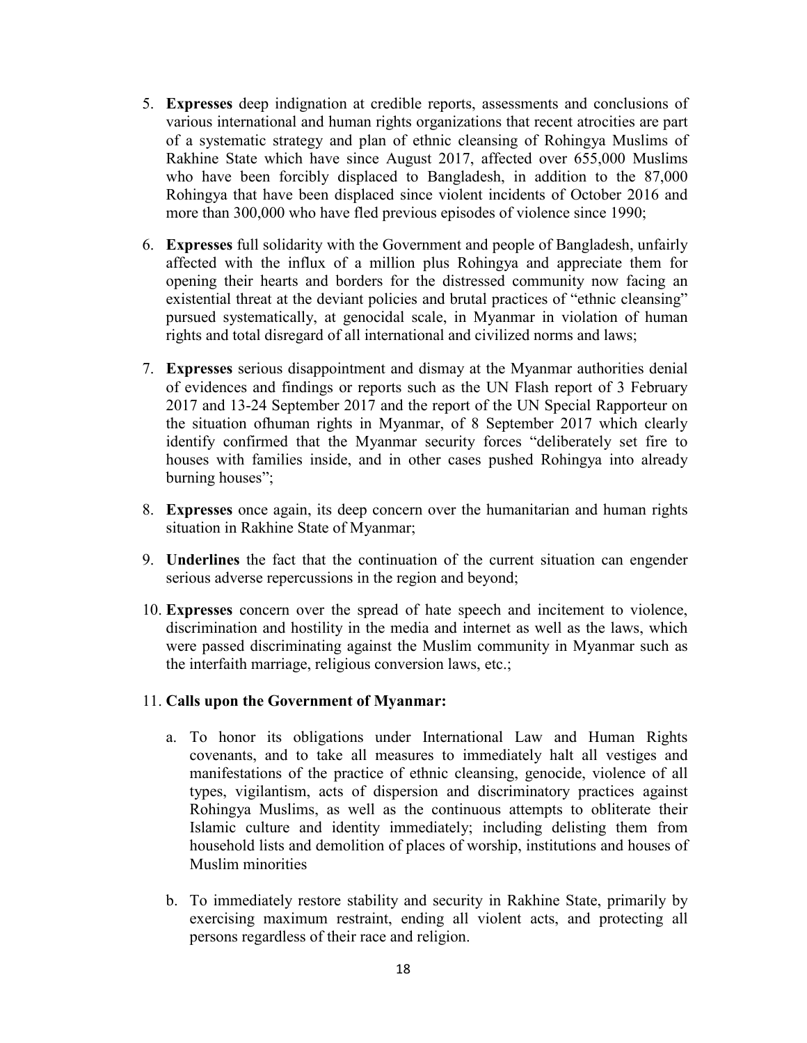- 5. **Expresses** deep indignation at credible reports, assessments and conclusions of various international and human rights organizations that recent atrocities are part of a systematic strategy and plan of ethnic cleansing of Rohingya Muslims of Rakhine State which have since August 2017, affected over 655,000 Muslims who have been forcibly displaced to Bangladesh, in addition to the 87,000 Rohingya that have been displaced since violent incidents of October 2016 and more than 300,000 who have fled previous episodes of violence since 1990;
- 6. **Expresses** full solidarity with the Government and people of Bangladesh, unfairly affected with the influx of a million plus Rohingya and appreciate them for opening their hearts and borders for the distressed community now facing an existential threat at the deviant policies and brutal practices of "ethnic cleansing" pursued systematically, at genocidal scale, in Myanmar in violation of human rights and total disregard of all international and civilized norms and laws;
- 7. **Expresses** serious disappointment and dismay at the Myanmar authorities denial of evidences and findings or reports such as the UN Flash report of 3 February 2017 and 13-24 September 2017 and the report of the UN Special Rapporteur on the situation ofhuman rights in Myanmar, of 8 September 2017 which clearly identify confirmed that the Myanmar security forces "deliberately set fire to houses with families inside, and in other cases pushed Rohingya into already burning houses";
- 8. **Expresses** once again, its deep concern over the humanitarian and human rights situation in Rakhine State of Myanmar;
- 9. **Underlines** the fact that the continuation of the current situation can engender serious adverse repercussions in the region and beyond;
- 10. **Expresses** concern over the spread of hate speech and incitement to violence, discrimination and hostility in the media and internet as well as the laws, which were passed discriminating against the Muslim community in Myanmar such as the interfaith marriage, religious conversion laws, etc.;

#### 11. **Calls upon the Government of Myanmar:**

- a. To honor its obligations under International Law and Human Rights covenants, and to take all measures to immediately halt all vestiges and manifestations of the practice of ethnic cleansing, genocide, violence of all types, vigilantism, acts of dispersion and discriminatory practices against Rohingya Muslims, as well as the continuous attempts to obliterate their Islamic culture and identity immediately; including delisting them from household lists and demolition of places of worship, institutions and houses of Muslim minorities
- b. To immediately restore stability and security in Rakhine State, primarily by exercising maximum restraint, ending all violent acts, and protecting all persons regardless of their race and religion.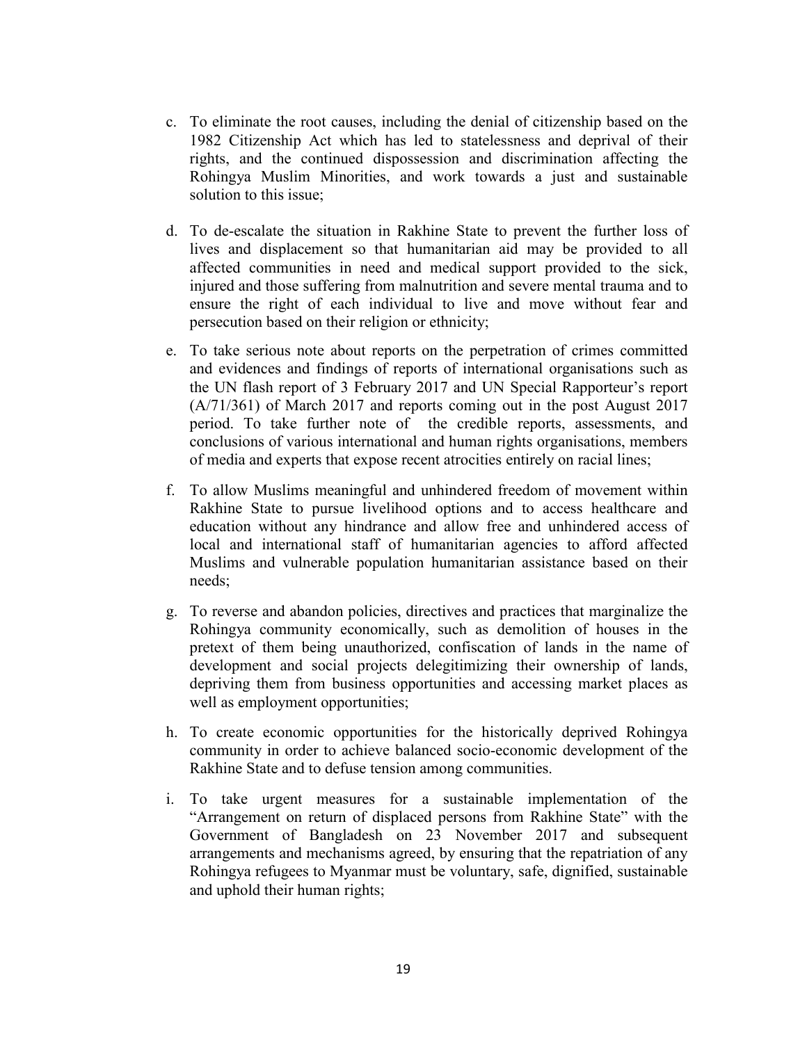- c. To eliminate the root causes, including the denial of citizenship based on the 1982 Citizenship Act which has led to statelessness and deprival of their rights, and the continued dispossession and discrimination affecting the Rohingya Muslim Minorities, and work towards a just and sustainable solution to this issue;
- d. To de-escalate the situation in Rakhine State to prevent the further loss of lives and displacement so that humanitarian aid may be provided to all affected communities in need and medical support provided to the sick, injured and those suffering from malnutrition and severe mental trauma and to ensure the right of each individual to live and move without fear and persecution based on their religion or ethnicity;
- e. To take serious note about reports on the perpetration of crimes committed and evidences and findings of reports of international organisations such as the UN flash report of 3 February 2017 and UN Special Rapporteur's report (A/71/361) of March 2017 and reports coming out in the post August 2017 period. To take further note of the credible reports, assessments, and conclusions of various international and human rights organisations, members of media and experts that expose recent atrocities entirely on racial lines;
- f. To allow Muslims meaningful and unhindered freedom of movement within Rakhine State to pursue livelihood options and to access healthcare and education without any hindrance and allow free and unhindered access of local and international staff of humanitarian agencies to afford affected Muslims and vulnerable population humanitarian assistance based on their needs;
- g. To reverse and abandon policies, directives and practices that marginalize the Rohingya community economically, such as demolition of houses in the pretext of them being unauthorized, confiscation of lands in the name of development and social projects delegitimizing their ownership of lands, depriving them from business opportunities and accessing market places as well as employment opportunities;
- h. To create economic opportunities for the historically deprived Rohingya community in order to achieve balanced socio-economic development of the Rakhine State and to defuse tension among communities.
- i. To take urgent measures for a sustainable implementation of the "Arrangement on return of displaced persons from Rakhine State" with the Government of Bangladesh on 23 November 2017 and subsequent arrangements and mechanisms agreed, by ensuring that the repatriation of any Rohingya refugees to Myanmar must be voluntary, safe, dignified, sustainable and uphold their human rights;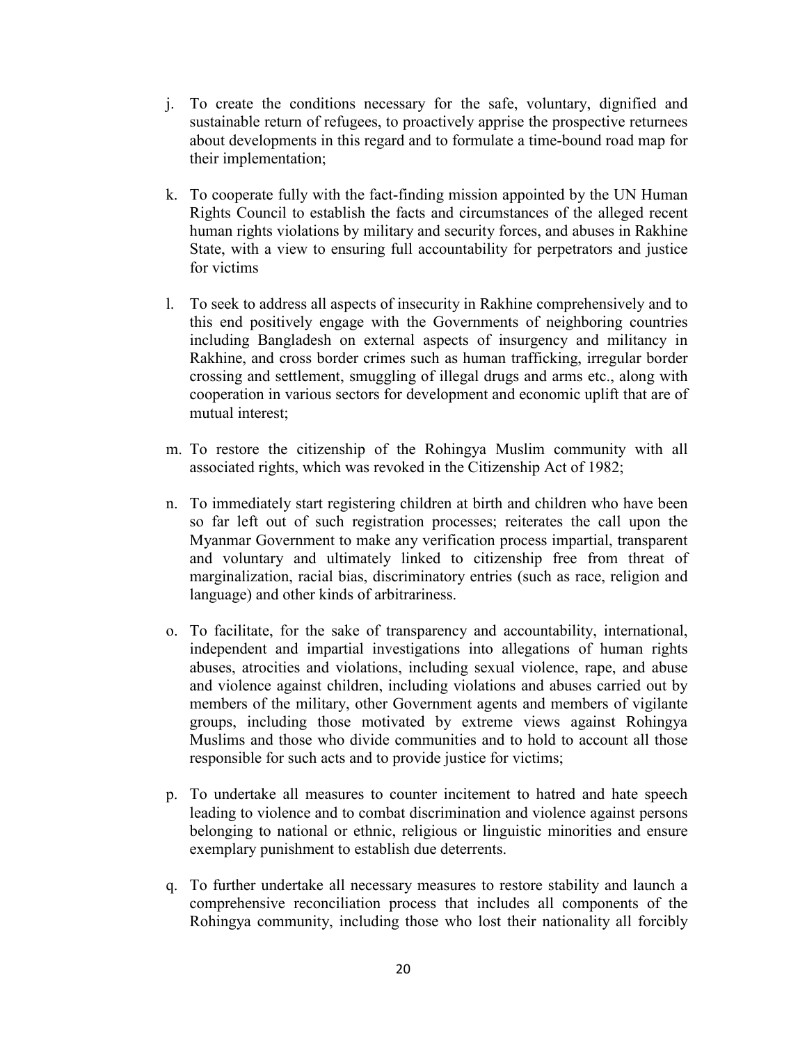- j. To create the conditions necessary for the safe, voluntary, dignified and sustainable return of refugees, to proactively apprise the prospective returnees about developments in this regard and to formulate a time-bound road map for their implementation;
- k. To cooperate fully with the fact-finding mission appointed by the UN Human Rights Council to establish the facts and circumstances of the alleged recent human rights violations by military and security forces, and abuses in Rakhine State, with a view to ensuring full accountability for perpetrators and justice for victims
- l. To seek to address all aspects of insecurity in Rakhine comprehensively and to this end positively engage with the Governments of neighboring countries including Bangladesh on external aspects of insurgency and militancy in Rakhine, and cross border crimes such as human trafficking, irregular border crossing and settlement, smuggling of illegal drugs and arms etc., along with cooperation in various sectors for development and economic uplift that are of mutual interest;
- m. To restore the citizenship of the Rohingya Muslim community with all associated rights, which was revoked in the Citizenship Act of 1982;
- n. To immediately start registering children at birth and children who have been so far left out of such registration processes; reiterates the call upon the Myanmar Government to make any verification process impartial, transparent and voluntary and ultimately linked to citizenship free from threat of marginalization, racial bias, discriminatory entries (such as race, religion and language) and other kinds of arbitrariness.
- o. To facilitate, for the sake of transparency and accountability, international, independent and impartial investigations into allegations of human rights abuses, atrocities and violations, including sexual violence, rape, and abuse and violence against children, including violations and abuses carried out by members of the military, other Government agents and members of vigilante groups, including those motivated by extreme views against Rohingya Muslims and those who divide communities and to hold to account all those responsible for such acts and to provide justice for victims;
- p. To undertake all measures to counter incitement to hatred and hate speech leading to violence and to combat discrimination and violence against persons belonging to national or ethnic, religious or linguistic minorities and ensure exemplary punishment to establish due deterrents.
- q. To further undertake all necessary measures to restore stability and launch a comprehensive reconciliation process that includes all components of the Rohingya community, including those who lost their nationality all forcibly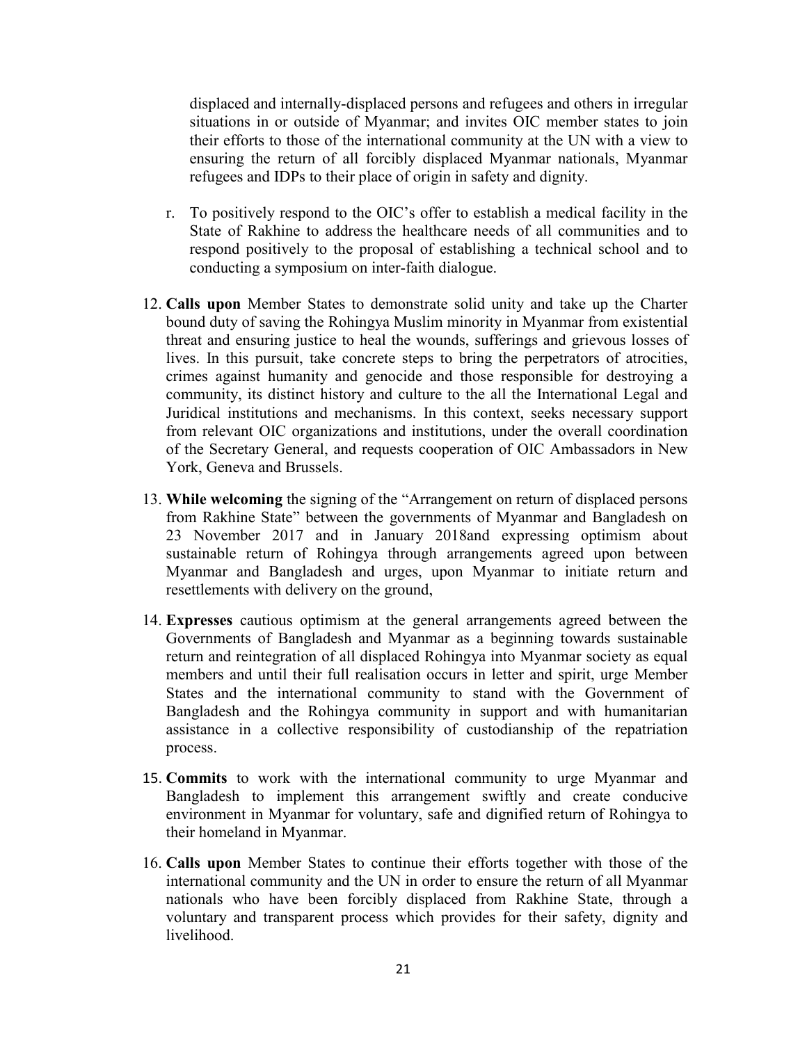displaced and internally-displaced persons and refugees and others in irregular situations in or outside of Myanmar; and invites OIC member states to join their efforts to those of the international community at the UN with a view to ensuring the return of all forcibly displaced Myanmar nationals, Myanmar refugees and IDPs to their place of origin in safety and dignity.

- r. To positively respond to the OIC's offer to establish a medical facility in the State of Rakhine to address the healthcare needs of all communities and to respond positively to the proposal of establishing a technical school and to conducting a symposium on inter-faith dialogue.
- 12. **Calls upon** Member States to demonstrate solid unity and take up the Charter bound duty of saving the Rohingya Muslim minority in Myanmar from existential threat and ensuring justice to heal the wounds, sufferings and grievous losses of lives. In this pursuit, take concrete steps to bring the perpetrators of atrocities, crimes against humanity and genocide and those responsible for destroying a community, its distinct history and culture to the all the International Legal and Juridical institutions and mechanisms. In this context, seeks necessary support from relevant OIC organizations and institutions, under the overall coordination of the Secretary General, and requests cooperation of OIC Ambassadors in New York, Geneva and Brussels.
- 13. **While welcoming** the signing of the "Arrangement on return of displaced persons from Rakhine State" between the governments of Myanmar and Bangladesh on 23 November 2017 and in January 2018and expressing optimism about sustainable return of Rohingya through arrangements agreed upon between Myanmar and Bangladesh and urges, upon Myanmar to initiate return and resettlements with delivery on the ground,
- 14. **Expresses** cautious optimism at the general arrangements agreed between the Governments of Bangladesh and Myanmar as a beginning towards sustainable return and reintegration of all displaced Rohingya into Myanmar society as equal members and until their full realisation occurs in letter and spirit, urge Member States and the international community to stand with the Government of Bangladesh and the Rohingya community in support and with humanitarian assistance in a collective responsibility of custodianship of the repatriation process.
- 15. **Commits** to work with the international community to urge Myanmar and Bangladesh to implement this arrangement swiftly and create conducive environment in Myanmar for voluntary, safe and dignified return of Rohingya to their homeland in Myanmar.
- 16. **Calls upon** Member States to continue their efforts together with those of the international community and the UN in order to ensure the return of all Myanmar nationals who have been forcibly displaced from Rakhine State, through a voluntary and transparent process which provides for their safety, dignity and livelihood.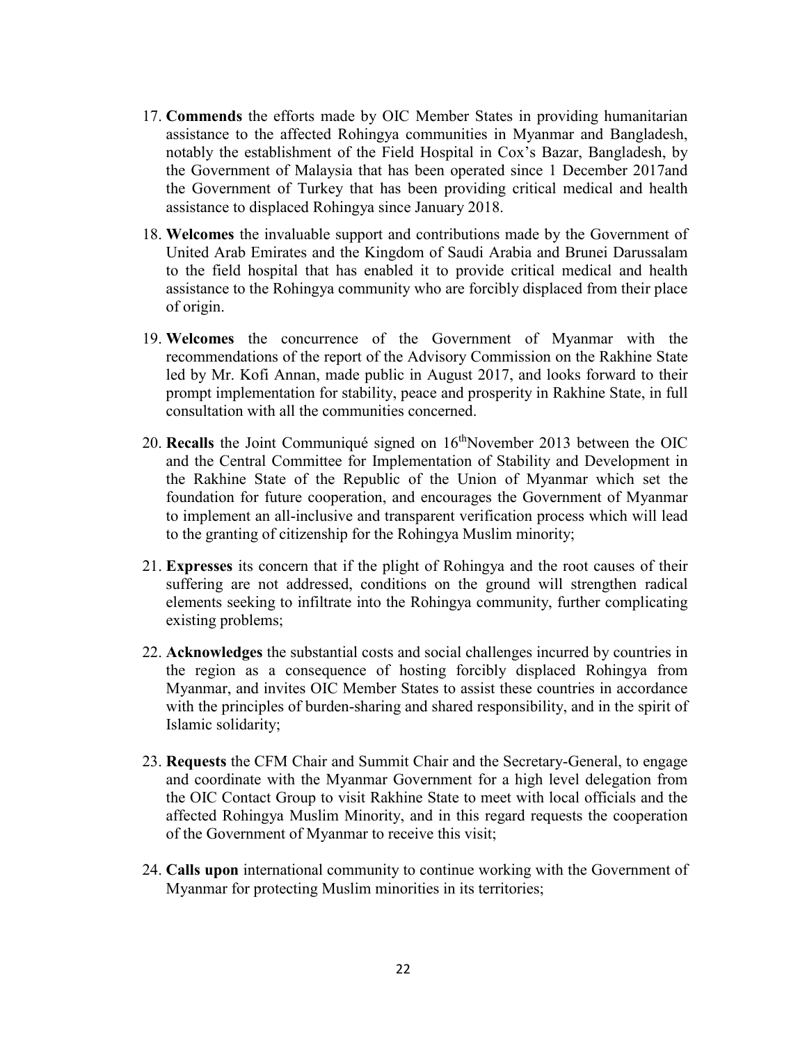- 17. **Commends** the efforts made by OIC Member States in providing humanitarian assistance to the affected Rohingya communities in Myanmar and Bangladesh, notably the establishment of the Field Hospital in Cox's Bazar, Bangladesh, by the Government of Malaysia that has been operated since 1 December 2017and the Government of Turkey that has been providing critical medical and health assistance to displaced Rohingya since January 2018.
- 18. **Welcomes** the invaluable support and contributions made by the Government of United Arab Emirates and the Kingdom of Saudi Arabia and Brunei Darussalam to the field hospital that has enabled it to provide critical medical and health assistance to the Rohingya community who are forcibly displaced from their place of origin.
- 19. **Welcomes** the concurrence of the Government of Myanmar with the recommendations of the report of the Advisory Commission on the Rakhine State led by Mr. Kofi Annan, made public in August 2017, and looks forward to their prompt implementation for stability, peace and prosperity in Rakhine State, in full consultation with all the communities concerned.
- 20. **Recalls** the Joint Communiqué signed on 16<sup>th</sup>November 2013 between the OIC and the Central Committee for Implementation of Stability and Development in the Rakhine State of the Republic of the Union of Myanmar which set the foundation for future cooperation, and encourages the Government of Myanmar to implement an all-inclusive and transparent verification process which will lead to the granting of citizenship for the Rohingya Muslim minority;
- 21. **Expresses** its concern that if the plight of Rohingya and the root causes of their suffering are not addressed, conditions on the ground will strengthen radical elements seeking to infiltrate into the Rohingya community, further complicating existing problems;
- 22. **Acknowledges** the substantial costs and social challenges incurred by countries in the region as a consequence of hosting forcibly displaced Rohingya from Myanmar, and invites OIC Member States to assist these countries in accordance with the principles of burden-sharing and shared responsibility, and in the spirit of Islamic solidarity;
- 23. **Requests** the CFM Chair and Summit Chair and the Secretary-General, to engage and coordinate with the Myanmar Government for a high level delegation from the OIC Contact Group to visit Rakhine State to meet with local officials and the affected Rohingya Muslim Minority, and in this regard requests the cooperation of the Government of Myanmar to receive this visit;
- 24. **Calls upon** international community to continue working with the Government of Myanmar for protecting Muslim minorities in its territories;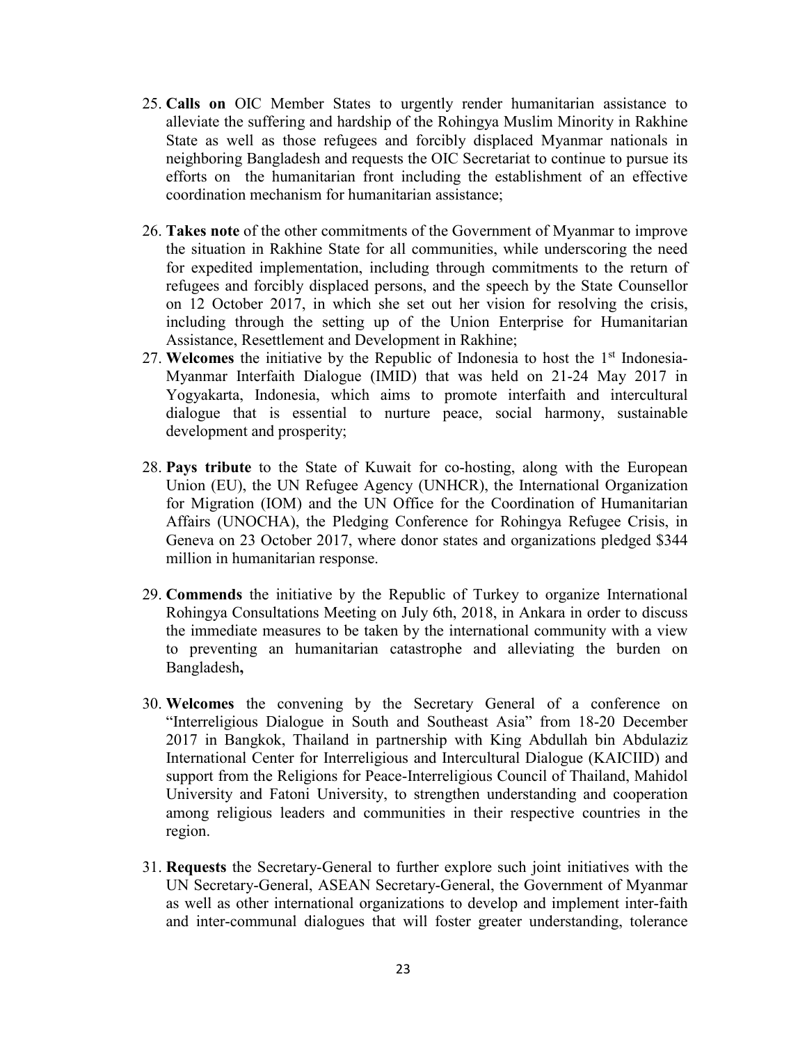- 25. **Calls on** OIC Member States to urgently render humanitarian assistance to alleviate the suffering and hardship of the Rohingya Muslim Minority in Rakhine State as well as those refugees and forcibly displaced Myanmar nationals in neighboring Bangladesh and requests the OIC Secretariat to continue to pursue its efforts on the humanitarian front including the establishment of an effective coordination mechanism for humanitarian assistance;
- 26. **Takes note** of the other commitments of the Government of Myanmar to improve the situation in Rakhine State for all communities, while underscoring the need for expedited implementation, including through commitments to the return of refugees and forcibly displaced persons, and the speech by the State Counsellor on 12 October 2017, in which she set out her vision for resolving the crisis, including through the setting up of the Union Enterprise for Humanitarian Assistance, Resettlement and Development in Rakhine;
- 27. Welcomes the initiative by the Republic of Indonesia to host the 1<sup>st</sup> Indonesia-Myanmar Interfaith Dialogue (IMID) that was held on 21-24 May 2017 in Yogyakarta, Indonesia, which aims to promote interfaith and intercultural dialogue that is essential to nurture peace, social harmony, sustainable development and prosperity;
- 28. **Pays tribute** to the State of Kuwait for co-hosting, along with the European Union (EU), the UN Refugee Agency (UNHCR), the International Organization for Migration (IOM) and the UN Office for the Coordination of Humanitarian Affairs (UNOCHA), the Pledging Conference for Rohingya Refugee Crisis, in Geneva on 23 October 2017, where donor states and organizations pledged \$344 million in humanitarian response.
- 29. **Commends** the initiative by the Republic of Turkey to organize International Rohingya Consultations Meeting on July 6th, 2018, in Ankara in order to discuss the immediate measures to be taken by the international community with a view to preventing an humanitarian catastrophe and alleviating the burden on Bangladesh**,**
- 30. **Welcomes** the convening by the Secretary General of a conference on "Interreligious Dialogue in South and Southeast Asia" from 18-20 December 2017 in Bangkok, Thailand in partnership with King Abdullah bin Abdulaziz International Center for Interreligious and Intercultural Dialogue (KAICIID) and support from the Religions for Peace-Interreligious Council of Thailand, Mahidol University and Fatoni University, to strengthen understanding and cooperation among religious leaders and communities in their respective countries in the region.
- 31. **Requests** the Secretary-General to further explore such joint initiatives with the UN Secretary-General, ASEAN Secretary-General, the Government of Myanmar as well as other international organizations to develop and implement inter-faith and inter-communal dialogues that will foster greater understanding, tolerance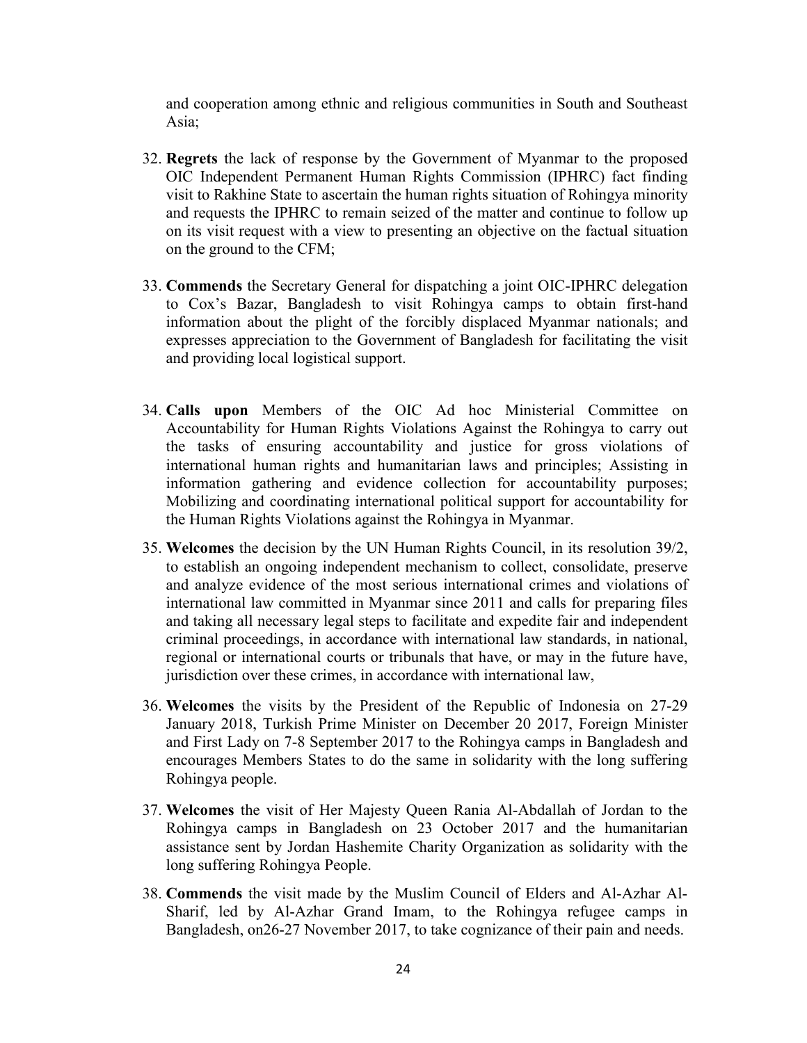and cooperation among ethnic and religious communities in South and Southeast Asia;

- 32. **Regrets** the lack of response by the Government of Myanmar to the proposed OIC Independent Permanent Human Rights Commission (IPHRC) fact finding visit to Rakhine State to ascertain the human rights situation of Rohingya minority and requests the IPHRC to remain seized of the matter and continue to follow up on its visit request with a view to presenting an objective on the factual situation on the ground to the CFM;
- 33. **Commends** the Secretary General for dispatching a joint OIC-IPHRC delegation to Cox's Bazar, Bangladesh to visit Rohingya camps to obtain first-hand information about the plight of the forcibly displaced Myanmar nationals; and expresses appreciation to the Government of Bangladesh for facilitating the visit and providing local logistical support.
- 34. **Calls upon** Members of the OIC Ad hoc Ministerial Committee on Accountability for Human Rights Violations Against the Rohingya to carry out the tasks of ensuring accountability and justice for gross violations of international human rights and humanitarian laws and principles; Assisting in information gathering and evidence collection for accountability purposes; Mobilizing and coordinating international political support for accountability for the Human Rights Violations against the Rohingya in Myanmar.
- 35. **Welcomes** the decision by the UN Human Rights Council, in its resolution 39/2, to establish an ongoing independent mechanism to collect, consolidate, preserve and analyze evidence of the most serious international crimes and violations of international law committed in Myanmar since 2011 and calls for preparing files and taking all necessary legal steps to facilitate and expedite fair and independent criminal proceedings, in accordance with international law standards, in national, regional or international courts or tribunals that have, or may in the future have, jurisdiction over these crimes, in accordance with international law,
- 36. **Welcomes** the visits by the President of the Republic of Indonesia on 27-29 January 2018, Turkish Prime Minister on December 20 2017, Foreign Minister and First Lady on 7-8 September 2017 to the Rohingya camps in Bangladesh and encourages Members States to do the same in solidarity with the long suffering Rohingya people.
- 37. **Welcomes** the visit of Her Majesty Queen Rania Al-Abdallah of Jordan to the Rohingya camps in Bangladesh on 23 October 2017 and the humanitarian assistance sent by Jordan Hashemite Charity Organization as solidarity with the long suffering Rohingya People.
- 38. **Commends** the visit made by the Muslim Council of Elders and Al-Azhar Al-Sharif, led by Al-Azhar Grand Imam, to the Rohingya refugee camps in Bangladesh, on26-27 November 2017, to take cognizance of their pain and needs.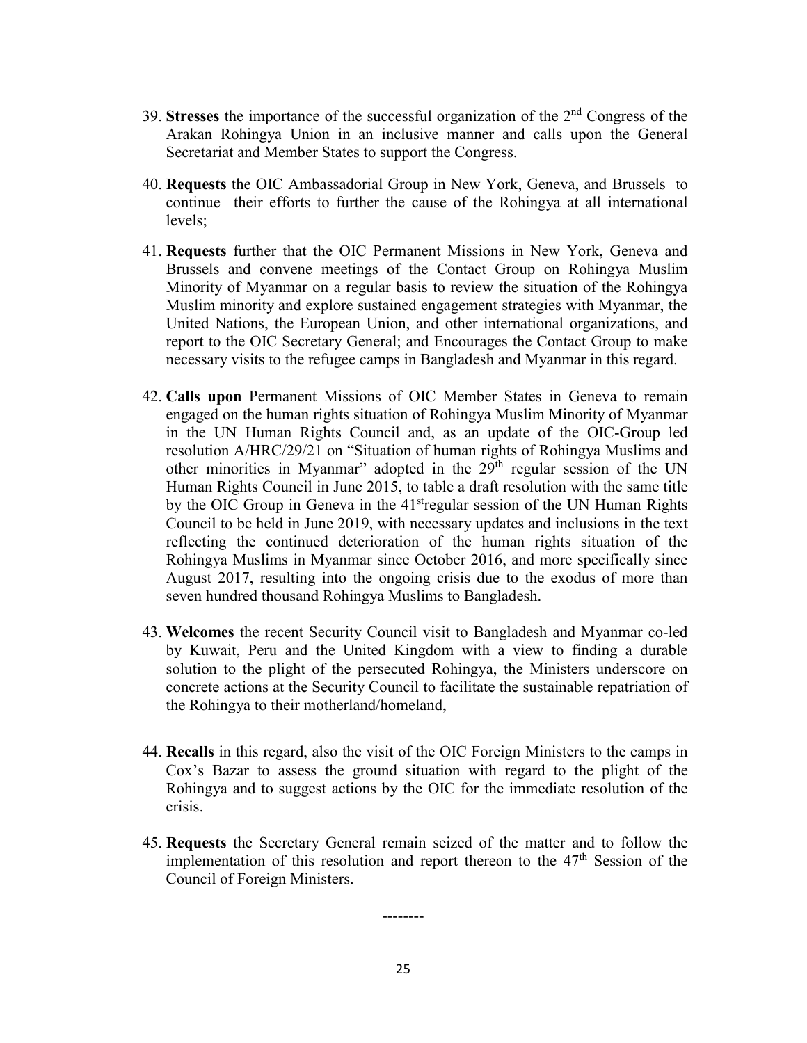- 39. **Stresses** the importance of the successful organization of the 2nd Congress of the Arakan Rohingya Union in an inclusive manner and calls upon the General Secretariat and Member States to support the Congress.
- 40. **Requests** the OIC Ambassadorial Group in New York, Geneva, and Brussels to continue their efforts to further the cause of the Rohingya at all international levels;
- 41. **Requests** further that the OIC Permanent Missions in New York, Geneva and Brussels and convene meetings of the Contact Group on Rohingya Muslim Minority of Myanmar on a regular basis to review the situation of the Rohingya Muslim minority and explore sustained engagement strategies with Myanmar, the United Nations, the European Union, and other international organizations, and report to the OIC Secretary General; and Encourages the Contact Group to make necessary visits to the refugee camps in Bangladesh and Myanmar in this regard.
- 42. **Calls upon** Permanent Missions of OIC Member States in Geneva to remain engaged on the human rights situation of Rohingya Muslim Minority of Myanmar in the UN Human Rights Council and, as an update of the OIC-Group led resolution A/HRC/29/21 on "Situation of human rights of Rohingya Muslims and other minorities in Myanmar" adopted in the 29<sup>th</sup> regular session of the UN Human Rights Council in June 2015, to table a draft resolution with the same title by the OIC Group in Geneva in the  $41<sup>st</sup>$ regular session of the UN Human Rights Council to be held in June 2019, with necessary updates and inclusions in the text reflecting the continued deterioration of the human rights situation of the Rohingya Muslims in Myanmar since October 2016, and more specifically since August 2017, resulting into the ongoing crisis due to the exodus of more than seven hundred thousand Rohingya Muslims to Bangladesh.
- 43. **Welcomes** the recent Security Council visit to Bangladesh and Myanmar co-led by Kuwait, Peru and the United Kingdom with a view to finding a durable solution to the plight of the persecuted Rohingya, the Ministers underscore on concrete actions at the Security Council to facilitate the sustainable repatriation of the Rohingya to their motherland/homeland,
- 44. **Recalls** in this regard, also the visit of the OIC Foreign Ministers to the camps in Cox's Bazar to assess the ground situation with regard to the plight of the Rohingya and to suggest actions by the OIC for the immediate resolution of the crisis.
- 45. **Requests** the Secretary General remain seized of the matter and to follow the implementation of this resolution and report thereon to the  $47<sup>th</sup>$  Session of the Council of Foreign Ministers.

25

--------